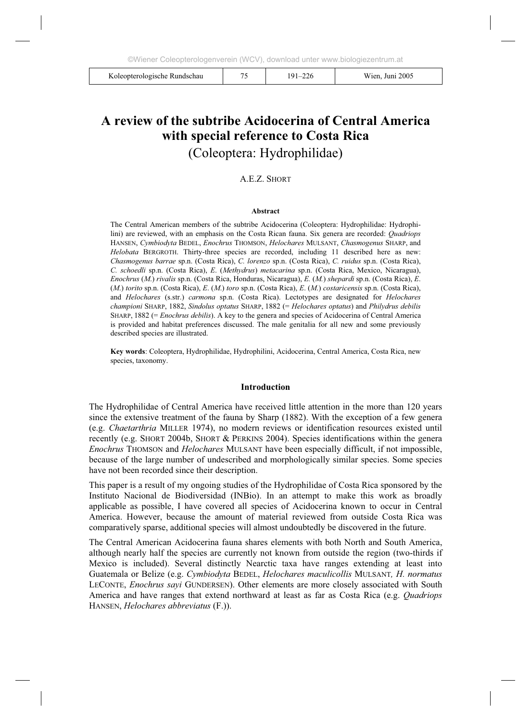| Koleopterologische Rundschau |  | 191–226 | Wien. Juni 2005 |
|------------------------------|--|---------|-----------------|
|------------------------------|--|---------|-----------------|

# **A review of the subtribe Acidocerina of Central America with special reference to Costa Rica**

(Coleoptera: Hydrophilidae)

## A.E.Z. SHORT

#### **Abstract**

The Central American members of the subtribe Acidocerina (Coleoptera: Hydrophilidae: Hydrophilini) are reviewed, with an emphasis on the Costa Rican fauna. Six genera are recorded: *Quadriops* HANSEN, *Cymbiodyta* BEDEL, *Enochrus* THOMSON, *Helochares* MULSANT, *Chasmogenus* SHARP, and *Helobata* BERGROTH. Thirty-three species are recorded, including 11 described here as new: *Chasmogenus barrae* sp.n. (Costa Rica), *C. lorenzo* sp.n. (Costa Rica), *C. ruidus* sp.n. (Costa Rica), *C. schoedli* sp.n. (Costa Rica), *E*. (*Methydrus*) *metacarina* sp.n. (Costa Rica, Mexico, Nicaragua), *Enochrus* (*M*.) *rivalis* sp.n. (Costa Rica, Honduras, Nicaragua), *E.* (*M.*) *shepardi* sp.n. (Costa Rica), *E*. (*M*.) *torito* sp.n. (Costa Rica), *E*. (*M*.) *toro* sp.n. (Costa Rica), *E*. (*M*.) *costaricensis* sp.n. (Costa Rica), and *Helochares* (s.str.) *carmona* sp.n. (Costa Rica). Lectotypes are designated for *Helochares championi* SHARP, 1882, *Sindolus optatus* SHARP, 1882 (= *Helochares optatus*) and *Philydrus debilis* SHARP, 1882 (= *Enochrus debilis*). A key to the genera and species of Acidocerina of Central America is provided and habitat preferences discussed. The male genitalia for all new and some previously described species are illustrated.

**Key words**: Coleoptera, Hydrophilidae, Hydrophilini, Acidocerina, Central America, Costa Rica, new species, taxonomy.

#### **Introduction**

The Hydrophilidae of Central America have received little attention in the more than 120 years since the extensive treatment of the fauna by Sharp (1882). With the exception of a few genera (e.g. *Chaetarthria* MILLER 1974), no modern reviews or identification resources existed until recently (e.g. SHORT 2004b, SHORT & PERKINS 2004). Species identifications within the genera *Enochrus* THOMSON and *Helochares* MULSANT have been especially difficult, if not impossible, because of the large number of undescribed and morphologically similar species. Some species have not been recorded since their description.

This paper is a result of my ongoing studies of the Hydrophilidae of Costa Rica sponsored by the Instituto Nacional de Biodiversidad (INBio). In an attempt to make this work as broadly applicable as possible, I have covered all species of Acidocerina known to occur in Central America. However, because the amount of material reviewed from outside Costa Rica was comparatively sparse, additional species will almost undoubtedly be discovered in the future.

The Central American Acidocerina fauna shares elements with both North and South America, although nearly half the species are currently not known from outside the region (two-thirds if Mexico is included). Several distinctly Nearctic taxa have ranges extending at least into Guatemala or Belize (e.g. *Cymbiodyta* BEDEL, *Helochares maculicollis* MULSANT*, H. normatus*  LECONTE, *Enochrus sayi* GUNDERSEN). Other elements are more closely associated with South America and have ranges that extend northward at least as far as Costa Rica (e.g. *Quadriops* HANSEN, *Helochares abbreviatus* (F.)).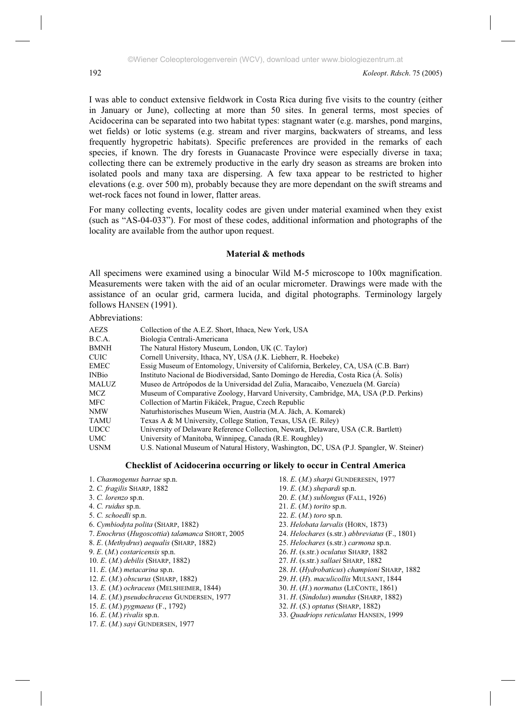I was able to conduct extensive fieldwork in Costa Rica during five visits to the country (either in January or June), collecting at more than 50 sites. In general terms, most species of Acidocerina can be separated into two habitat types: stagnant water (e.g. marshes, pond margins, wet fields) or lotic systems (e.g. stream and river margins, backwaters of streams, and less frequently hygropetric habitats). Specific preferences are provided in the remarks of each species, if known. The dry forests in Guanacaste Province were especially diverse in taxa; collecting there can be extremely productive in the early dry season as streams are broken into isolated pools and many taxa are dispersing. A few taxa appear to be restricted to higher elevations (e.g. over 500 m), probably because they are more dependant on the swift streams and wet-rock faces not found in lower, flatter areas.

For many collecting events, locality codes are given under material examined when they exist (such as "AS-04-033"). For most of these codes, additional information and photographs of the locality are available from the author upon request.

## **Material & methods**

All specimens were examined using a binocular Wild M-5 microscope to 100x magnification. Measurements were taken with the aid of an ocular micrometer. Drawings were made with the assistance of an ocular grid, carmera lucida, and digital photographs. Terminology largely follows HANSEN (1991).

Abbreviations:

| <b>AEZS</b>  | Collection of the A.E.Z. Short, Ithaca, New York, USA                                    |
|--------------|------------------------------------------------------------------------------------------|
| B.C.A.       | Biologia Centrali-Americana                                                              |
| <b>BMNH</b>  | The Natural History Museum, London, UK (C. Taylor)                                       |
| <b>CUIC</b>  | Cornell University, Ithaca, NY, USA (J.K. Liebherr, R. Hoebeke)                          |
| <b>EMEC</b>  | Essig Museum of Entomology, University of California, Berkeley, CA, USA (C.B. Barr)      |
| <b>INBio</b> | Instituto Nacional de Biodiversidad, Santo Domingo de Heredia, Costa Rica (A. Solís)     |
| MALUZ        | Museo de Artrópodos de la Universidad del Zulia, Maracaibo, Venezuela (M. García)        |
| MCZ.         | Museum of Comparative Zoology, Harvard University, Cambridge, MA, USA (P.D. Perkins)     |
| MFC          | Collection of Martin Fikáček, Prague, Czech Republic                                     |
| <b>NMW</b>   | Naturhistorisches Museum Wien, Austria (M.A. Jäch, A. Komarek)                           |
| <b>TAMU</b>  | Texas A & M University, College Station, Texas, USA (E. Riley)                           |
| <b>UDCC</b>  | University of Delaware Reference Collection, Newark, Delaware, USA (C.R. Bartlett)       |
| <b>UMC</b>   | University of Manitoba, Winnipeg, Canada (R.E. Roughley)                                 |
| <b>USNM</b>  | U.S. National Museum of Natural History, Washington, DC, USA (P.J. Spangler, W. Steiner) |

# **Checklist of Acidocerina occurring or likely to occur in Central America**

- 1. *Chasmogenus barrae* sp.n.
- 2. *C. fragilis* SHARP, 1882
- 3. *C. lorenzo* sp.n.
- 4. *C. ruidus* sp.n.
- 5. *C. schoedli* sp.n.
- 6. *Cymbiodyta polita* (SHARP, 1882)
- 7. *Enochrus* (*Hugoscottia*) *talamanca* SHORT, 2005
- 8. *E*. (*Methydrus*) *aequalis* (SHARP, 1882)
- 9. *E*. (*M*.) *costaricensis* sp.n.
- 10. *E*. (*M*.) *debilis* (SHARP, 1882)
- 11. *E*. (*M*.) *metacarina* sp.n.
- 12. *E*. (*M*.) *obscurus* (SHARP, 1882)
- 13. *E.* (*M*.) *ochraceus* (MELSHEIMER, 1844)
- 14. *E*. (*M*.) *pseudochraceus* GUNDERSEN, 1977
- 15. *E*. (*M*.) *pygmaeus* (F., 1792)
- 16. *E*. (*M*.) *rivalis* sp.n.
- 17. *E*. (*M*.) *sayi* GUNDERSEN, 1977
- 18. *E*. (*M*.) *sharpi* GUNDERESEN, 1977
- 19. *E*. (*M*.) *shepardi* sp.n.
- 20. *E*. (*M*.) *sublongus* (FALL, 1926)
- 21. *E*. (*M*.) *torito* sp.n.
- 22. *E*. (*M*.) *toro* sp.n.
- 23. *Helobata larvalis* (HORN, 1873)
- 24. *Helochares* (s.str.) *abbreviatus* (F., 1801)
- 25. *Helochares* (s.str.) *carmona* sp.n.
- 26. *H*. (s.str.) *oculatus* SHARP, 1882
- 27. *H*. (s.str.) *sallaei* SHARP, 1882
- 28. *H*. (*Hydrobaticus*) *championi* SHARP, 1882
- 29. *H*. (*H*). *maculicollis* MULSANT, 1844
- 30. *H*. (*H*.) *normatus* (LECONTE, 1861)
- 31. *H*. (*Sindolus*) *mundus* (SHARP, 1882)
- 32. *H*. (*S*.) *optatus* (SHARP, 1882)
- 33. *Quadriops reticulatus* HANSEN, 1999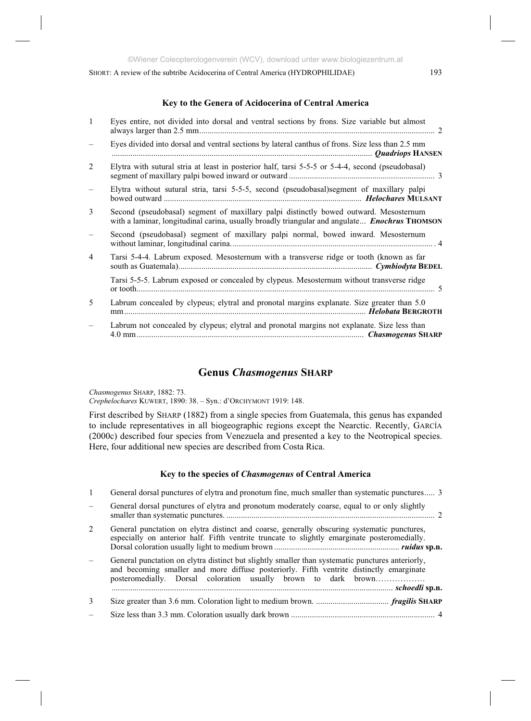# **Key to the Genera of Acidocerina of Central America**

|                | Eyes entire, not divided into dorsal and ventral sections by frons. Size variable but almost                                                                                                  |
|----------------|-----------------------------------------------------------------------------------------------------------------------------------------------------------------------------------------------|
|                | Eyes divided into dorsal and ventral sections by lateral canthus of frons. Size less than 2.5 mm                                                                                              |
| 2              | Elytra with sutural stria at least in posterior half, tarsi 5-5-5 or 5-4-4, second (pseudobasal)                                                                                              |
|                | Elytra without sutural stria, tarsi 5-5-5, second (pseudobasal) segment of maxillary palpi                                                                                                    |
| 3              | Second (pseudobasal) segment of maxillary palpi distinctly bowed outward. Mesosternum<br>with a laminar, longitudinal carina, usually broadly triangular and angulate <i>Enochrus</i> THOMSON |
|                | Second (pseudobasal) segment of maxillary palpi normal, bowed inward. Mesosternum                                                                                                             |
| $\overline{4}$ | Tarsi 5-4-4. Labrum exposed. Mesosternum with a transverse ridge or tooth (known as far                                                                                                       |
|                | Tarsi 5-5-5. Labrum exposed or concealed by clypeus. Mesosternum without transverse ridge                                                                                                     |
| 5              | Labrum concealed by clypeus; elytral and pronotal margins explanate. Size greater than 5.0                                                                                                    |
|                | Labrum not concealed by clypeus; elytral and pronotal margins not explanate. Size less than                                                                                                   |

# **Genus** *Chasmogenus* **SHARP**

*Chasmogenus* SHARP, 1882: 73. *Crephelochares* KUWERT, 1890: 38. – Syn.: d'ORCHYMONT 1919: 148.

First described by SHARP (1882) from a single species from Guatemala, this genus has expanded to include representatives in all biogeographic regions except the Nearctic. Recently, GARCÍA (2000c) described four species from Venezuela and presented a key to the Neotropical species. Here, four additional new species are described from Costa Rica.

#### **Key to the species of** *Chasmogenus* **of Central America**

| $\overline{1}$ | General dorsal punctures of elytra and pronotum fine, much smaller than systematic punctures 3                                                                                                                                                                |  |
|----------------|---------------------------------------------------------------------------------------------------------------------------------------------------------------------------------------------------------------------------------------------------------------|--|
|                | General dorsal punctures of elytra and pronotum moderately coarse, equal to or only slightly                                                                                                                                                                  |  |
| 2              | General punctation on elytra distinct and coarse, generally obscuring systematic punctures,<br>especially on anterior half. Fifth ventrite truncate to slightly emarginate posteromedially.                                                                   |  |
|                | General punctation on elytra distinct but slightly smaller than systematic punctures anteriorly,<br>and becoming smaller and more diffuse posteriorly. Fifth ventrite distinctly emarginate<br>posteromedially. Dorsal coloration usually brown to dark brown |  |
| 3              |                                                                                                                                                                                                                                                               |  |
|                |                                                                                                                                                                                                                                                               |  |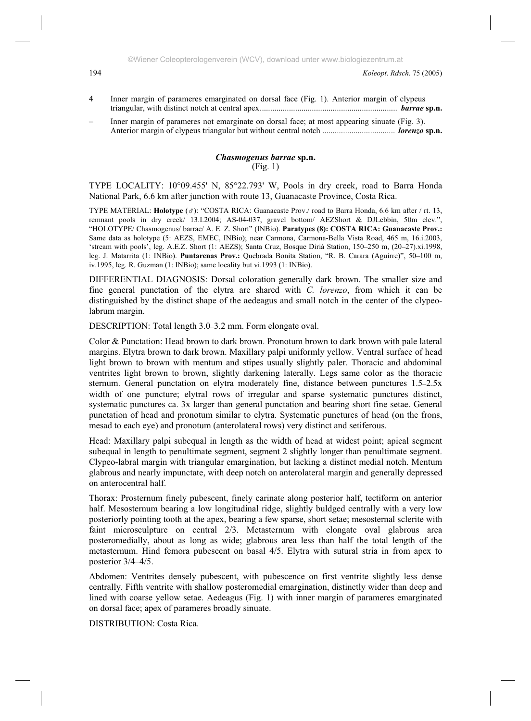- 4 Inner margin of parameres emarginated on dorsal face (Fig. 1). Anterior margin of clypeus triangular, with distinct notch at central apex.................................................................. *barrae* **sp.n.**
- Inner margin of parameres not emarginate on dorsal face; at most appearing sinuate (Fig. 3). Anterior margin of clypeus triangular but without central notch ................................... *lorenzo* **sp.n.**

#### *Chasmogenus barrae* **sp.n.**  (Fig. 1)

TYPE LOCALITY: 10°09.455' N, 85°22.793' W, Pools in dry creek, road to Barra Honda National Park, 6.6 km after junction with route 13, Guanacaste Province, Costa Rica.

TYPE MATERIAL: **Holotype** ( $\sigma$ ): "COSTA RICA: Guanacaste Prov./ road to Barra Honda, 6.6 km after / rt. 13, remnant pools in dry creek/ 13.I.2004; AS-04-037, gravel bottom/ AEZShort & DJLebbin, 50m elev.", "HOLOTYPE/ Chasmogenus/ barrae/ A. E. Z. Short" (INBio). **Paratypes (8): COSTA RICA: Guanacaste Prov.:** Same data as holotype (5: AEZS, EMEC, INBio); near Carmona, Carmona-Bella Vista Road, 465 m, 16.i.2003, 'stream with pools', leg. A.E.Z. Short (1: AEZS); Santa Cruz, Bosque Diriá Station, 150–250 m, (20–27).xi.1998, leg. J. Matarrita (1: INBio). **Puntarenas Prov.:** Quebrada Bonita Station, "R. B. Carara (Aguirre)", 50–100 m, iv.1995, leg. R. Guzman (1: INBio); same locality but vi.1993 (1: INBio).

DIFFERENTIAL DIAGNOSIS: Dorsal coloration generally dark brown. The smaller size and fine general punctation of the elytra are shared with *C. lorenzo*, from which it can be distinguished by the distinct shape of the aedeagus and small notch in the center of the clypeolabrum margin.

DESCRIPTION: Total length 3.0–3.2 mm. Form elongate oval.

Color & Punctation: Head brown to dark brown. Pronotum brown to dark brown with pale lateral margins. Elytra brown to dark brown. Maxillary palpi uniformly yellow. Ventral surface of head light brown to brown with mentum and stipes usually slightly paler. Thoracic and abdominal ventrites light brown to brown, slightly darkening laterally. Legs same color as the thoracic sternum. General punctation on elytra moderately fine, distance between punctures 1.5–2.5x width of one puncture; elytral rows of irregular and sparse systematic punctures distinct, systematic punctures ca. 3x larger than general punctation and bearing short fine setae. General punctation of head and pronotum similar to elytra. Systematic punctures of head (on the frons, mesad to each eye) and pronotum (anterolateral rows) very distinct and setiferous.

Head: Maxillary palpi subequal in length as the width of head at widest point; apical segment subequal in length to penultimate segment, segment 2 slightly longer than penultimate segment. Clypeo-labral margin with triangular emargination, but lacking a distinct medial notch. Mentum glabrous and nearly impunctate, with deep notch on anterolateral margin and generally depressed on anterocentral half.

Thorax: Prosternum finely pubescent, finely carinate along posterior half, tectiform on anterior half. Mesosternum bearing a low longitudinal ridge, slightly buldged centrally with a very low posteriorly pointing tooth at the apex, bearing a few sparse, short setae; mesosternal sclerite with faint microsculpture on central 2/3. Metasternum with elongate oval glabrous area posteromedially, about as long as wide; glabrous area less than half the total length of the metasternum. Hind femora pubescent on basal 4/5. Elytra with sutural stria in from apex to posterior 3/4–4/5.

Abdomen: Ventrites densely pubescent, with pubescence on first ventrite slightly less dense centrally. Fifth ventrite with shallow posteromedial emargination, distinctly wider than deep and lined with coarse yellow setae. Aedeagus (Fig. 1) with inner margin of parameres emarginated on dorsal face; apex of parameres broadly sinuate.

DISTRIBUTION: Costa Rica.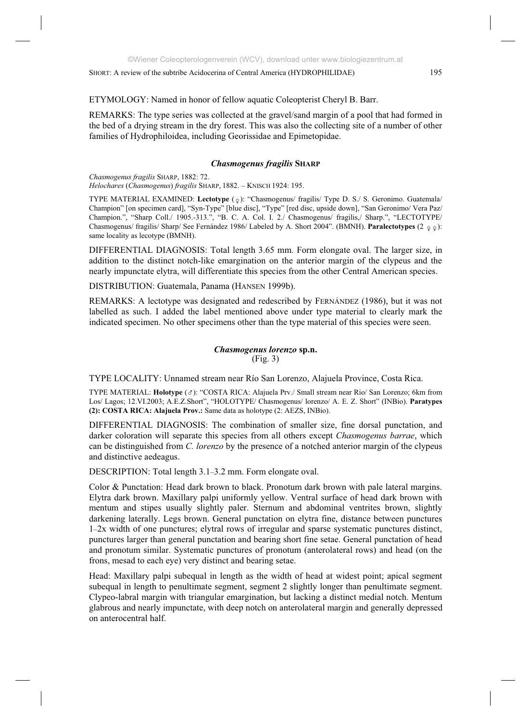ETYMOLOGY: Named in honor of fellow aquatic Coleopterist Cheryl B. Barr.

REMARKS: The type series was collected at the gravel/sand margin of a pool that had formed in the bed of a drying stream in the dry forest. This was also the collecting site of a number of other families of Hydrophiloidea, including Georissidae and Epimetopidae.

# *Chasmogenus fragilis* **SHARP**

*Chasmogenus fragilis* SHARP, 1882: 72. *Helochares* (*Chasmogenus*) *fragilis* SHARP, 1882. – KNISCH 1924: 195.

TYPE MATERIAL EXAMINED: Lectotype ( $\circ$ ): "Chasmogenus/ fragilis/ Type D. S./ S. Geronimo. Guatemala/ Champion" [on specimen card], "Syn-Type" [blue disc], "Type" [red disc, upside down], "San Geronimo/ Vera Paz/ Champion.", "Sharp Coll./ 1905.-313.", "B. C. A. Col. I. 2./ Chasmogenus/ fragilis,/ Sharp.", "LECTOTYPE/ Chasmogenus/ fragilis/ Sharp/ See Fernández 1986/ Labeled by A. Short 2004". (BMNH). **Paralectotypes**  $(2 \circ \circ)$ : same locality as lecotype (BMNH).

DIFFERENTIAL DIAGNOSIS: Total length 3.65 mm. Form elongate oval. The larger size, in addition to the distinct notch-like emargination on the anterior margin of the clypeus and the nearly impunctate elytra, will differentiate this species from the other Central American species.

DISTRIBUTION: Guatemala, Panama (HANSEN 1999b).

REMARKS: A lectotype was designated and redescribed by FERNÁNDEZ (1986), but it was not labelled as such. I added the label mentioned above under type material to clearly mark the indicated specimen. No other specimens other than the type material of this species were seen.

# *Chasmogenus lorenzo* **sp.n.**  (Fig. 3)

TYPE LOCALITY: Unnamed stream near Río San Lorenzo, Alajuela Province, Costa Rica.

TYPE MATERIAL: **Holotype** ( ): "COSTA RICA: Alajuela Prv./ Small stream near Rio/ San Lorenzo; 6km from Los/ Lagos; 12.VI.2003; A.E.Z.Short", "HOLOTYPE/ Chasmogenus/ lorenzo/ A. E. Z. Short" (INBio). **Paratypes (2): COSTA RICA: Alajuela Prov.:** Same data as holotype (2: AEZS, INBio).

DIFFERENTIAL DIAGNOSIS: The combination of smaller size, fine dorsal punctation, and darker coloration will separate this species from all others except *Chasmogenus barrae*, which can be distinguished from *C. lorenzo* by the presence of a notched anterior margin of the clypeus and distinctive aedeagus.

DESCRIPTION: Total length 3.1–3.2 mm. Form elongate oval.

Color & Punctation: Head dark brown to black. Pronotum dark brown with pale lateral margins. Elytra dark brown. Maxillary palpi uniformly yellow. Ventral surface of head dark brown with mentum and stipes usually slightly paler. Sternum and abdominal ventrites brown, slightly darkening laterally. Legs brown. General punctation on elytra fine, distance between punctures 1–2x width of one punctures; elytral rows of irregular and sparse systematic punctures distinct, punctures larger than general punctation and bearing short fine setae. General punctation of head and pronotum similar. Systematic punctures of pronotum (anterolateral rows) and head (on the frons, mesad to each eye) very distinct and bearing setae.

Head: Maxillary palpi subequal in length as the width of head at widest point; apical segment subequal in length to penultimate segment, segment 2 slightly longer than penultimate segment. Clypeo-labral margin with triangular emargination, but lacking a distinct medial notch. Mentum glabrous and nearly impunctate, with deep notch on anterolateral margin and generally depressed on anterocentral half.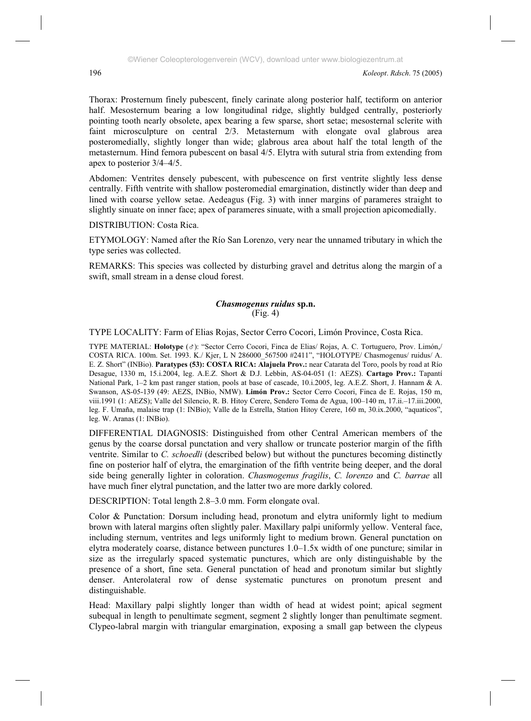Thorax: Prosternum finely pubescent, finely carinate along posterior half, tectiform on anterior half. Mesosternum bearing a low longitudinal ridge, slightly buldged centrally, posteriorly pointing tooth nearly obsolete, apex bearing a few sparse, short setae; mesosternal sclerite with faint microsculpture on central 2/3. Metasternum with elongate oval glabrous area posteromedially, slightly longer than wide; glabrous area about half the total length of the metasternum. Hind femora pubescent on basal 4/5. Elytra with sutural stria from extending from apex to posterior 3/4–4/5.

Abdomen: Ventrites densely pubescent, with pubescence on first ventrite slightly less dense centrally. Fifth ventrite with shallow posteromedial emargination, distinctly wider than deep and lined with coarse yellow setae. Aedeagus (Fig. 3) with inner margins of parameres straight to slightly sinuate on inner face; apex of parameres sinuate, with a small projection apicomedially.

DISTRIBUTION: Costa Rica.

ETYMOLOGY: Named after the Río San Lorenzo, very near the unnamed tributary in which the type series was collected.

REMARKS: This species was collected by disturbing gravel and detritus along the margin of a swift, small stream in a dense cloud forest.

#### *Chasmogenus ruidus* **sp.n.**  (Fig. 4)

TYPE LOCALITY: Farm of Elias Rojas, Sector Cerro Cocori, Limón Province, Costa Rica.

TYPE MATERIAL: **Holotype** ( $\sigma$ ): "Sector Cerro Cocori, Finca de Elias/ Rojas, A. C. Tortuguero, Prov. Limón,/ COSTA RICA. 100m. Set. 1993. K./ Kjer, L N 286000\_567500 #2411", "HOLOTYPE/ Chasmogenus/ ruidus/ A. E. Z. Short" (INBio). **Paratypes (53): COSTA RICA: Alajuela Prov.:** near Catarata del Toro, pools by road at Río Desague, 1330 m, 15.i.2004, leg. A.E.Z. Short & D.J. Lebbin, AS-04-051 (1: AEZS). **Cartago Prov.:** Tapantí National Park, 1–2 km past ranger station, pools at base of cascade, 10.i.2005, leg. A.E.Z. Short, J. Hannam & A. Swanson, AS-05-139 (49: AEZS, INBio, NMW). **Limón Prov.:** Sector Cerro Cocori, Finca de E. Rojas, 150 m, viii.1991 (1: AEZS); Valle del Silencio, R. B. Hitoy Cerere, Sendero Toma de Agua, 100–140 m, 17.ii.–17.iii.2000, leg. F. Umaña, malaise trap (1: INBio); Valle de la Estrella, Station Hitoy Cerere, 160 m, 30.ix.2000, "aquaticos", leg. W. Aranas (1: INBio).

DIFFERENTIAL DIAGNOSIS: Distinguished from other Central American members of the genus by the coarse dorsal punctation and very shallow or truncate posterior margin of the fifth ventrite. Similar to *C. schoedli* (described below) but without the punctures becoming distinctly fine on posterior half of elytra, the emargination of the fifth ventrite being deeper, and the doral side being generally lighter in coloration. *Chasmogenus fragilis*, *C. lorenzo* and *C. barrae* all have much finer elytral punctation, and the latter two are more darkly colored.

DESCRIPTION: Total length 2.8–3.0 mm. Form elongate oval.

Color & Punctation: Dorsum including head, pronotum and elytra uniformly light to medium brown with lateral margins often slightly paler. Maxillary palpi uniformly yellow. Venteral face, including sternum, ventrites and legs uniformly light to medium brown. General punctation on elytra moderately coarse, distance between punctures 1.0–1.5x width of one puncture; similar in size as the irregularly spaced systematic punctures, which are only distinguishable by the presence of a short, fine seta. General punctation of head and pronotum similar but slightly denser. Anterolateral row of dense systematic punctures on pronotum present and distinguishable.

Head: Maxillary palpi slightly longer than width of head at widest point; apical segment subequal in length to penultimate segment, segment 2 slightly longer than penultimate segment. Clypeo-labral margin with triangular emargination, exposing a small gap between the clypeus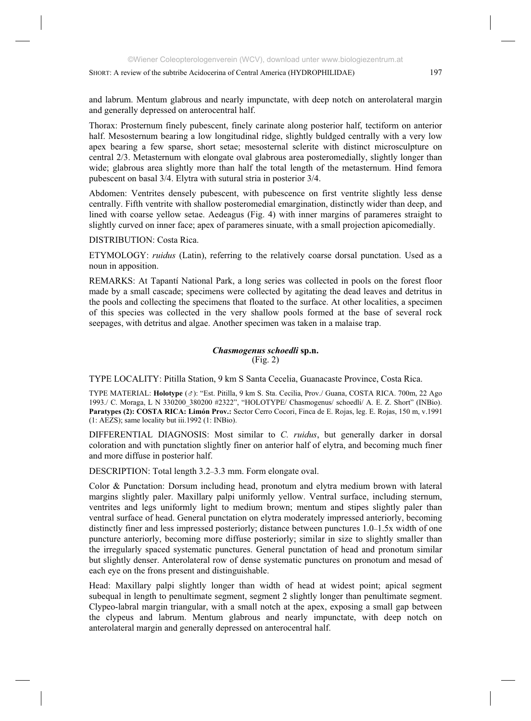and labrum. Mentum glabrous and nearly impunctate, with deep notch on anterolateral margin and generally depressed on anterocentral half.

Thorax: Prosternum finely pubescent, finely carinate along posterior half, tectiform on anterior half. Mesosternum bearing a low longitudinal ridge, slightly buldged centrally with a very low apex bearing a few sparse, short setae; mesosternal sclerite with distinct microsculpture on central 2/3. Metasternum with elongate oval glabrous area posteromedially, slightly longer than wide; glabrous area slightly more than half the total length of the metasternum. Hind femora pubescent on basal 3/4. Elytra with sutural stria in posterior 3/4.

Abdomen: Ventrites densely pubescent, with pubescence on first ventrite slightly less dense centrally. Fifth ventrite with shallow posteromedial emargination, distinctly wider than deep, and lined with coarse yellow setae. Aedeagus (Fig. 4) with inner margins of parameres straight to slightly curved on inner face; apex of parameres sinuate, with a small projection apicomedially.

DISTRIBUTION: Costa Rica.

ETYMOLOGY: *ruidus* (Latin), referring to the relatively coarse dorsal punctation. Used as a noun in apposition.

REMARKS: At Tapantí National Park, a long series was collected in pools on the forest floor made by a small cascade; specimens were collected by agitating the dead leaves and detritus in the pools and collecting the specimens that floated to the surface. At other localities, a specimen of this species was collected in the very shallow pools formed at the base of several rock seepages, with detritus and algae. Another specimen was taken in a malaise trap.

# *Chasmogenus schoedli* **sp.n.** (Fig. 2)

TYPE LOCALITY: Pitilla Station, 9 km S Santa Cecelia, Guanacaste Province, Costa Rica.

TYPE MATERIAL: **Holotype** ( ): "Est. Pitilla, 9 km S. Sta. Cecilia, Prov./ Guana, COSTA RICA. 700m, 22 Ago 1993./ C. Moraga, L N 330200\_380200 #2322", "HOLOTYPE/ Chasmogenus/ schoedli/ A. E. Z. Short" (INBio). **Paratypes (2): COSTA RICA: Limón Prov.:** Sector Cerro Cocori, Finca de E. Rojas, leg. E. Rojas, 150 m, v.1991 (1: AEZS); same locality but iii.1992 (1: INBio).

DIFFERENTIAL DIAGNOSIS: Most similar to *C. ruidus*, but generally darker in dorsal coloration and with punctation slightly finer on anterior half of elytra, and becoming much finer and more diffuse in posterior half.

DESCRIPTION: Total length 3.2–3.3 mm. Form elongate oval.

Color & Punctation: Dorsum including head, pronotum and elytra medium brown with lateral margins slightly paler. Maxillary palpi uniformly yellow. Ventral surface, including sternum, ventrites and legs uniformly light to medium brown; mentum and stipes slightly paler than ventral surface of head. General punctation on elytra moderately impressed anteriorly, becoming distinctly finer and less impressed posteriorly; distance between punctures 1.0–1.5x width of one puncture anteriorly, becoming more diffuse posteriorly; similar in size to slightly smaller than the irregularly spaced systematic punctures. General punctation of head and pronotum similar but slightly denser. Anterolateral row of dense systematic punctures on pronotum and mesad of each eye on the frons present and distinguishable.

Head: Maxillary palpi slightly longer than width of head at widest point; apical segment subequal in length to penultimate segment, segment 2 slightly longer than penultimate segment. Clypeo-labral margin triangular, with a small notch at the apex, exposing a small gap between the clypeus and labrum. Mentum glabrous and nearly impunctate, with deep notch on anterolateral margin and generally depressed on anterocentral half.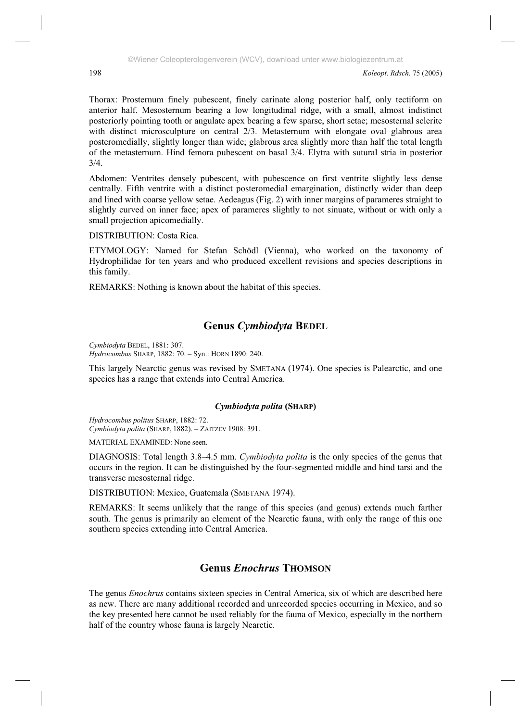Thorax: Prosternum finely pubescent, finely carinate along posterior half, only tectiform on anterior half. Mesosternum bearing a low longitudinal ridge, with a small, almost indistinct posteriorly pointing tooth or angulate apex bearing a few sparse, short setae; mesosternal sclerite with distinct microsculpture on central 2/3. Metasternum with elongate oval glabrous area posteromedially, slightly longer than wide; glabrous area slightly more than half the total length of the metasternum. Hind femora pubescent on basal 3/4. Elytra with sutural stria in posterior 3/4.

Abdomen: Ventrites densely pubescent, with pubescence on first ventrite slightly less dense centrally. Fifth ventrite with a distinct posteromedial emargination, distinctly wider than deep and lined with coarse yellow setae. Aedeagus (Fig. 2) with inner margins of parameres straight to slightly curved on inner face; apex of parameres slightly to not sinuate, without or with only a small projection apicomedially.

DISTRIBUTION: Costa Rica.

ETYMOLOGY: Named for Stefan Schödl (Vienna), who worked on the taxonomy of Hydrophilidae for ten years and who produced excellent revisions and species descriptions in this family.

REMARKS: Nothing is known about the habitat of this species.

# **Genus** *Cymbiodyta* **BEDEL**

*Cymbiodyta* BEDEL, 1881: 307. *Hydrocombus* SHARP, 1882: 70. – Syn.: HORN 1890: 240.

This largely Nearctic genus was revised by SMETANA (1974). One species is Palearctic, and one species has a range that extends into Central America.

# *Cymbiodyta polita* **(SHARP)**

*Hydrocombus politus* SHARP, 1882: 72. *Cymbiodyta polita* (SHARP, 1882). – ZAITZEV 1908: 391.

MATERIAL EXAMINED: None seen.

DIAGNOSIS: Total length 3.8–4.5 mm. *Cymbiodyta polita* is the only species of the genus that occurs in the region. It can be distinguished by the four-segmented middle and hind tarsi and the transverse mesosternal ridge.

DISTRIBUTION: Mexico, Guatemala (SMETANA 1974).

REMARKS: It seems unlikely that the range of this species (and genus) extends much farther south. The genus is primarily an element of the Nearctic fauna, with only the range of this one southern species extending into Central America.

# **Genus** *Enochrus* **THOMSON**

The genus *Enochrus* contains sixteen species in Central America, six of which are described here as new. There are many additional recorded and unrecorded species occurring in Mexico, and so the key presented here cannot be used reliably for the fauna of Mexico, especially in the northern half of the country whose fauna is largely Nearctic.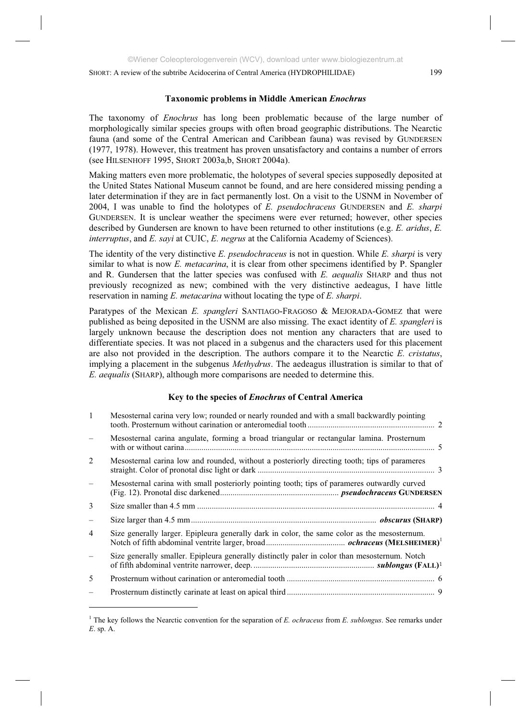The taxonomy of *Enochrus* has long been problematic because of the large number of morphologically similar species groups with often broad geographic distributions. The Nearctic fauna (and some of the Central American and Caribbean fauna) was revised by GUNDERSEN (1977, 1978). However, this treatment has proven unsatisfactory and contains a number of errors (see HILSENHOFF 1995, SHORT 2003a,b, SHORT 2004a).

Making matters even more problematic, the holotypes of several species supposedly deposited at the United States National Museum cannot be found, and are here considered missing pending a later determination if they are in fact permanently lost. On a visit to the USNM in November of 2004, I was unable to find the holotypes of *E. pseudochraceus* GUNDERSEN and *E. sharpi* GUNDERSEN. It is unclear weather the specimens were ever returned; however, other species described by Gundersen are known to have been returned to other institutions (e.g. *E. aridus*, *E. interruptus*, and *E. sayi* at CUIC, *E. negrus* at the California Academy of Sciences).

The identity of the very distinctive *E. pseudochraceus* is not in question. While *E. sharpi* is very similar to what is now *E. metacarina*, it is clear from other specimens identified by P. Spangler and R. Gundersen that the latter species was confused with *E. aequalis* SHARP and thus not previously recognized as new; combined with the very distinctive aedeagus, I have little reservation in naming *E. metacarina* without locating the type of *E. sharpi*.

Paratypes of the Mexican *E. spangleri* SANTIAGO-FRAGOSO & MEJORADA-GOMEZ that were published as being deposited in the USNM are also missing. The exact identity of *E. spangleri* is largely unknown because the description does not mention any characters that are used to differentiate species. It was not placed in a subgenus and the characters used for this placement are also not provided in the description. The authors compare it to the Nearctic *E. cristatus*, implying a placement in the subgenus *Methydrus*. The aedeagus illustration is similar to that of *E. aequalis* (SHARP), although more comparisons are needed to determine this.

## **Key to the species of** *Enochrus* **of Central America**

| $\mathbf{1}$             | Mesosternal carina very low; rounded or nearly rounded and with a small backwardly pointing   |  |
|--------------------------|-----------------------------------------------------------------------------------------------|--|
|                          | Mesosternal carina angulate, forming a broad triangular or rectangular lamina. Prosternum     |  |
| 2                        | Mesosternal carina low and rounded, without a posteriorly directing tooth; tips of parameres  |  |
|                          | Mesosternal carina with small posteriorly pointing tooth; tips of parameres outwardly curved  |  |
| 3                        |                                                                                               |  |
| $\overline{\phantom{0}}$ |                                                                                               |  |
| $\overline{4}$           | Size generally larger. Epipleura generally dark in color, the same color as the mesosternum.  |  |
|                          | Size generally smaller. Epipleura generally distinctly paler in color than mesosternum. Notch |  |
| 5                        |                                                                                               |  |
|                          |                                                                                               |  |
|                          |                                                                                               |  |

<sup>1</sup> The key follows the Nearctic convention for the separation of *E. ochraceus* from *E. sublongus*. See remarks under *E*. sp. A.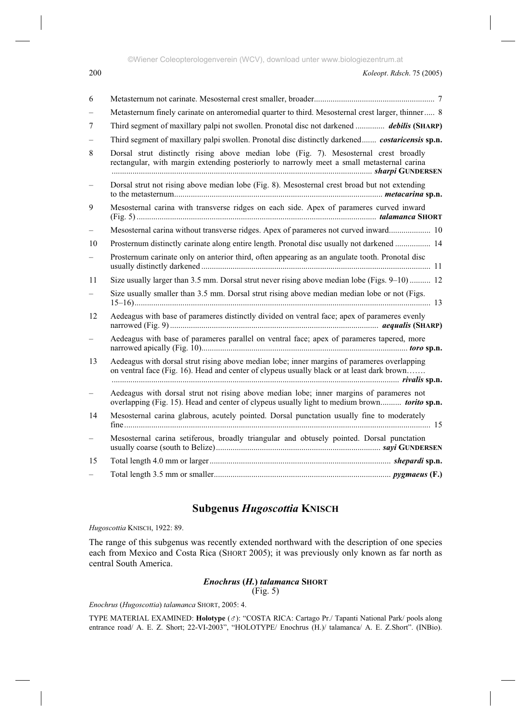©Wiener Coleopterologenverein (WCV), download unter www.biologiezentrum.at

| 6                        |                                                                                                                                                                                           |
|--------------------------|-------------------------------------------------------------------------------------------------------------------------------------------------------------------------------------------|
|                          | Metasternum finely carinate on anteromedial quarter to third. Mesosternal crest larger, thinner 8                                                                                         |
| 7                        | Third segment of maxillary palpi not swollen. Pronotal disc not darkened <i>debilis</i> (SHARP)                                                                                           |
|                          | Third segment of maxillary palpi swollen. Pronotal disc distinctly darkened <i>costaricensis</i> sp.n.                                                                                    |
| 8                        | Dorsal strut distinctly rising above median lobe (Fig. 7). Mesosternal crest broadly<br>rectangular, with margin extending posteriorly to narrowly meet a small metasternal carina        |
|                          | Dorsal strut not rising above median lobe (Fig. 8). Mesosternal crest broad but not extending                                                                                             |
| 9                        | Mesosternal carina with transverse ridges on each side. Apex of parameres curved inward                                                                                                   |
| $\overline{\phantom{0}}$ | Mesosternal carina without transverse ridges. Apex of parameres not curved inward 10                                                                                                      |
| 10                       | Prosternum distinctly carinate along entire length. Pronotal disc usually not darkened  14                                                                                                |
|                          | Prosternum carinate only on anterior third, often appearing as an angulate tooth. Pronotal disc                                                                                           |
| 11                       | Size usually larger than 3.5 mm. Dorsal strut never rising above median lobe (Figs. 9–10)  12                                                                                             |
|                          | Size usually smaller than 3.5 mm. Dorsal strut rising above median median lobe or not (Figs.                                                                                              |
| 12                       | Aedeagus with base of parameres distinctly divided on ventral face; apex of parameres evenly                                                                                              |
|                          | Aedeagus with base of parameres parallel on ventral face; apex of parameres tapered, more                                                                                                 |
| 13                       | Aedeagus with dorsal strut rising above median lobe; inner margins of parameres overlapping<br>on ventral face (Fig. 16). Head and center of clypeus usually black or at least dark brown |
|                          | Aedeagus with dorsal strut not rising above median lobe; inner margins of parameres not<br>overlapping (Fig. 15). Head and center of clypeus usually light to medium brown torito sp.n.   |
| 14                       | Mesosternal carina glabrous, acutely pointed. Dorsal punctation usually fine to moderately                                                                                                |
| $\overline{\phantom{0}}$ | Mesosternal carina setiferous, broadly triangular and obtusely pointed. Dorsal punctation                                                                                                 |
| 15                       |                                                                                                                                                                                           |
|                          |                                                                                                                                                                                           |

# **Subgenus** *Hugoscottia* **KNISCH**

*Hugoscottia* KNISCH, 1922: 89.

The range of this subgenus was recently extended northward with the description of one species each from Mexico and Costa Rica (SHORT 2005); it was previously only known as far north as central South America.

# *Enochrus* **(***H.***)** *talamanca* **SHORT**

(Fig. 5)

*Enochrus* (*Hugoscottia*) *talamanca* SHORT, 2005: 4.

TYPE MATERIAL EXAMINED: Holotype (&): "COSTA RICA: Cartago Pr./ Tapanti National Park/ pools along entrance road/ A. E. Z. Short; 22-VI-2003", "HOLOTYPE/ Enochrus (H.)/ talamanca/ A. E. Z.Short". (INBio).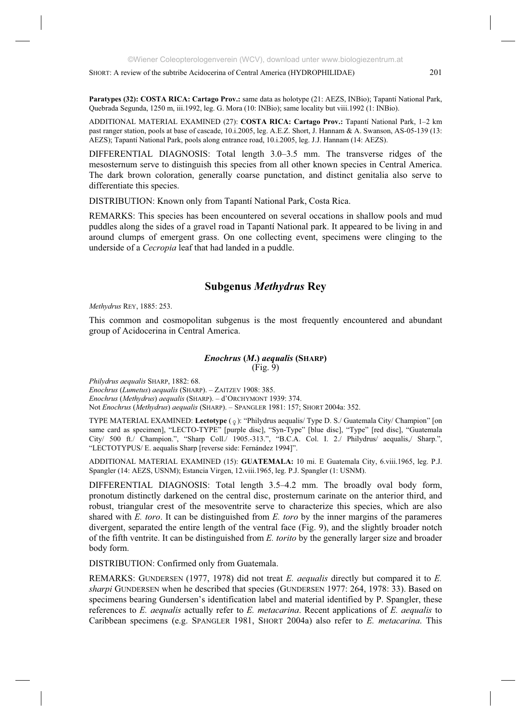**Paratypes (32): COSTA RICA: Cartago Prov.:** same data as holotype (21: AEZS, INBio); Tapantí National Park, Quebrada Segunda, 1250 m, iii.1992, leg. G. Mora (10: INBio); same locality but viii.1992 (1: INBio).

ADDITIONAL MATERIAL EXAMINED (27): **COSTA RICA: Cartago Prov.:** Tapantí National Park, 1–2 km past ranger station, pools at base of cascade, 10.i.2005, leg. A.E.Z. Short, J. Hannam & A. Swanson, AS-05-139 (13: AEZS); Tapantí National Park, pools along entrance road, 10.i.2005, leg. J.J. Hannam (14: AEZS).

DIFFERENTIAL DIAGNOSIS: Total length 3.0–3.5 mm. The transverse ridges of the mesosternum serve to distinguish this species from all other known species in Central America. The dark brown coloration, generally coarse punctation, and distinct genitalia also serve to differentiate this species.

DISTRIBUTION: Known only from Tapantí National Park, Costa Rica.

REMARKS: This species has been encountered on several occations in shallow pools and mud puddles along the sides of a gravel road in Tapantí National park. It appeared to be living in and around clumps of emergent grass. On one collecting event, specimens were clinging to the underside of a *Cecropia* leaf that had landed in a puddle.

# **Subgenus** *Methydrus* **Rey**

*Methydrus* REY, 1885: 253.

This common and cosmopolitan subgenus is the most frequently encountered and abundant group of Acidocerina in Central America.

#### *Enochrus* **(***M***.)** *aequalis* **(SHARP)**  $(Fig. 9)$

*Philydrus aequalis* SHARP, 1882: 68.

*Enochrus* (*Lumetus*) *aequalis* (SHARP). – ZAITZEV 1908: 385. *Enochrus* (*Methydrus*) *aequalis* (SHARP). – d'ORCHYMONT 1939: 374. Not *Enochrus* (*Methydrus*) *aequalis* (SHARP). – SPANGLER 1981: 157; SHORT 2004a: 352.

TYPE MATERIAL EXAMINED: Lectotype ( $\varphi$ ): "Philydrus aequalis/ Type D. S./ Guatemala City/ Champion" [on same card as specimen], "LECTO-TYPE" [purple disc], "Syn-Type" [blue disc], "Type" [red disc], "Guatemala City/ 500 ft./ Champion.", "Sharp Coll./ 1905.-313.", "B.C.A. Col. I. 2./ Philydrus/ aequalis,/ Sharp.", "LECTOTYPUS/ E. aequalis Sharp [reverse side: Fernández 1994]".

ADDITIONAL MATERIAL EXAMINED (15): **GUATEMALA:** 10 mi. E Guatemala City, 6.viii.1965, leg. P.J. Spangler (14: AEZS, USNM); Estancia Virgen, 12.viii.1965, leg. P.J. Spangler (1: USNM).

DIFFERENTIAL DIAGNOSIS: Total length 3.5–4.2 mm. The broadly oval body form, pronotum distinctly darkened on the central disc, prosternum carinate on the anterior third, and robust, triangular crest of the mesoventrite serve to characterize this species, which are also shared with *E. toro*. It can be distinguished from *E. toro* by the inner margins of the parameres divergent, separated the entire length of the ventral face (Fig. 9), and the slightly broader notch of the fifth ventrite. It can be distinguished from *E. torito* by the generally larger size and broader body form.

DISTRIBUTION: Confirmed only from Guatemala.

REMARKS: GUNDERSEN (1977, 1978) did not treat *E. aequalis* directly but compared it to *E. sharpi* GUNDERSEN when he described that species (GUNDERSEN 1977: 264, 1978: 33). Based on specimens bearing Gundersen's identification label and material identified by P. Spangler, these references to *E. aequalis* actually refer to *E. metacarina*. Recent applications of *E. aequalis* to Caribbean specimens (e.g. SPANGLER 1981, SHORT 2004a) also refer to *E. metacarina*. This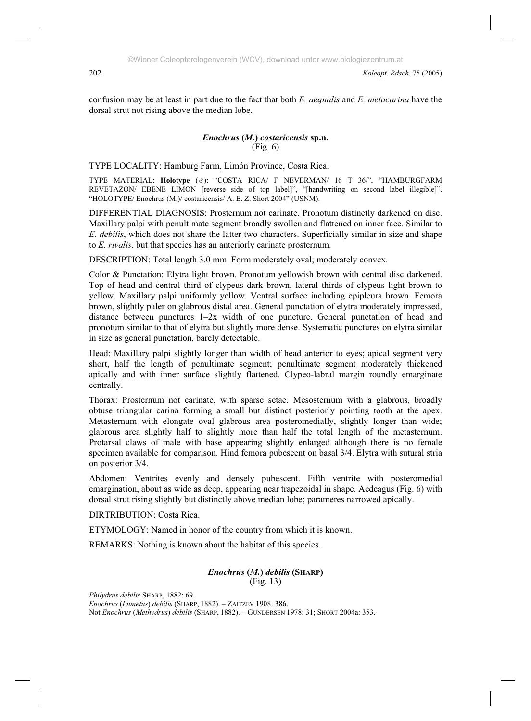confusion may be at least in part due to the fact that both *E. aequalis* and *E. metacarina* have the dorsal strut not rising above the median lobe.

#### *Enochrus* **(***M.***)** *costaricensis* **sp.n.** (Fig. 6)

TYPE LOCALITY: Hamburg Farm, Limón Province, Costa Rica.

TYPE MATERIAL: **Holotype** ( ): "COSTA RICA/ F NEVERMAN/ 16 T 36/", "HAMBURGFARM REVETAZON/ EBENE LIMON [reverse side of top label]", "[handwriting on second label illegible]". "HOLOTYPE/ Enochrus (M.)/ costaricensis/ A. E. Z. Short 2004" (USNM).

DIFFERENTIAL DIAGNOSIS: Prosternum not carinate. Pronotum distinctly darkened on disc. Maxillary palpi with penultimate segment broadly swollen and flattened on inner face. Similar to *E. debilis*, which does not share the latter two characters. Superficially similar in size and shape to *E. rivalis*, but that species has an anteriorly carinate prosternum.

DESCRIPTION: Total length 3.0 mm. Form moderately oval; moderately convex.

Color & Punctation: Elytra light brown. Pronotum yellowish brown with central disc darkened. Top of head and central third of clypeus dark brown, lateral thirds of clypeus light brown to yellow. Maxillary palpi uniformly yellow. Ventral surface including epipleura brown. Femora brown, slightly paler on glabrous distal area. General punctation of elytra moderately impressed, distance between punctures 1–2x width of one puncture. General punctation of head and pronotum similar to that of elytra but slightly more dense. Systematic punctures on elytra similar in size as general punctation, barely detectable.

Head: Maxillary palpi slightly longer than width of head anterior to eyes; apical segment very short, half the length of penultimate segment; penultimate segment moderately thickened apically and with inner surface slightly flattened. Clypeo-labral margin roundly emarginate centrally.

Thorax: Prosternum not carinate, with sparse setae. Mesosternum with a glabrous, broadly obtuse triangular carina forming a small but distinct posteriorly pointing tooth at the apex. Metasternum with elongate oval glabrous area posteromedially, slightly longer than wide; glabrous area slightly half to slightly more than half the total length of the metasternum. Protarsal claws of male with base appearing slightly enlarged although there is no female specimen available for comparison. Hind femora pubescent on basal 3/4. Elytra with sutural stria on posterior 3/4.

Abdomen: Ventrites evenly and densely pubescent. Fifth ventrite with posteromedial emargination, about as wide as deep, appearing near trapezoidal in shape. Aedeagus (Fig. 6) with dorsal strut rising slightly but distinctly above median lobe; parameres narrowed apically.

DIRTRIBUTION: Costa Rica.

ETYMOLOGY: Named in honor of the country from which it is known.

REMARKS: Nothing is known about the habitat of this species.

#### *Enochrus* **(***M.***)** *debilis* **(SHARP)** (Fig. 13)

*Philydrus debilis* SHARP, 1882: 69. *Enochrus* (*Lumetus*) *debilis* (SHARP, 1882). – ZAITZEV 1908: 386. Not *Enochrus* (*Methydrus*) *debilis* (SHARP, 1882). – GUNDERSEN 1978: 31; SHORT 2004a: 353.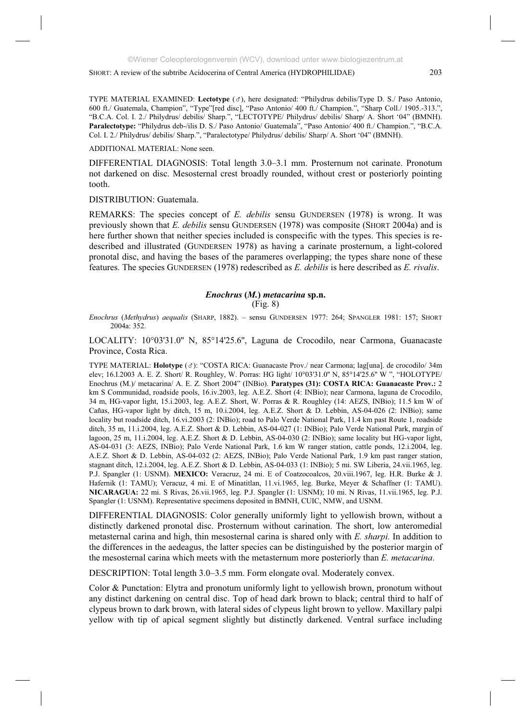TYPE MATERIAL EXAMINED: **Lectotype** ( ), here designated: "Philydrus debilis/Type D. S./ Paso Antonio, 600 ft./ Guatemala, Champion", "Type"[red disc], "Paso Antonio/ 400 ft./ Champion.", "Sharp Coll./ 1905.-313.", "B.C.A. Col. I. 2./ Philydrus/ debilis/ Sharp.", "LECTOTYPE/ Philydrus/ debilis/ Sharp/ A. Short '04" (BMNH). **Paralectotype:** "Philydrus deb-/ilis D. S./ Paso Antonio/ Guatemala", "Paso Antonio/ 400 ft./ Champion.", "B.C.A. Col. I. 2./ Philydrus/ debilis/ Sharp.", "Paralectotype/ Philydrus/ debilis/ Sharp/ A. Short '04" (BMNH).

ADDITIONAL MATERIAL: None seen.

DIFFERENTIAL DIAGNOSIS: Total length 3.0–3.1 mm. Prosternum not carinate. Pronotum not darkened on disc. Mesosternal crest broadly rounded, without crest or posteriorly pointing tooth.

DISTRIBUTION: Guatemala.

REMARKS: The species concept of *E. debilis* sensu GUNDERSEN (1978) is wrong. It was previously shown that *E. debilis* sensu GUNDERSEN (1978) was composite (SHORT 2004a) and is here further shown that neither species included is conspecific with the types. This species is redescribed and illustrated (GUNDERSEN 1978) as having a carinate prosternum, a light-colored pronotal disc, and having the bases of the parameres overlapping; the types share none of these features. The species GUNDERSEN (1978) redescribed as *E. debilis* is here described as *E. rivalis*.

# *Enochrus* **(***M.***)** *metacarina* **sp.n.**

(Fig. 8)

*Enochrus* (*Methydrus*) *aequalis* (SHARP, 1882). – sensu GUNDERSEN 1977: 264; SPANGLER 1981: 157; SHORT 2004a: 352.

LOCALITY: 10°03'31.0'' N, 85°14'25.6'', Laguna de Crocodilo, near Carmona, Guanacaste Province, Costa Rica.

TYPE MATERIAL: **Holotype** ( ): "COSTA RICA: Guanacaste Prov./ near Carmona; lag[una]. de crocodilo/ 34m elev; 16.I.2003 A. E. Z. Short/ R. Roughley, W. Porras: HG light/ 10°03'31.0'' N, 85°14'25.6'' W ", "HOLOTYPE/ Enochrus (M.)/ metacarina/ A. E. Z. Short 2004" (INBio). **Paratypes (31): COSTA RICA: Guanacaste Prov.:** 2 km S Communidad, roadside pools, 16.iv.2003, leg. A.E.Z. Short (4: INBio); near Carmona, laguna de Crocodilo, 34 m, HG-vapor light, 15.i.2003, leg. A.E.Z. Short, W. Porras & R. Roughley (14: AEZS, INBio); 11.5 km W of Cañas, HG-vapor light by ditch, 15 m, 10.i.2004, leg. A.E.Z. Short & D. Lebbin, AS-04-026 (2: INBio); same locality but roadside ditch, 16.vi.2003 (2: INBio); road to Palo Verde National Park, 11.4 km past Route 1, roadside ditch, 35 m, 11.i.2004, leg. A.E.Z. Short & D. Lebbin, AS-04-027 (1: INBio); Palo Verde National Park, margin of lagoon, 25 m, 11.i.2004, leg. A.E.Z. Short & D. Lebbin, AS-04-030 (2: INBio); same locality but HG-vapor light, AS-04-031 (3: AEZS, INBio); Palo Verde National Park, 1.6 km W ranger station, cattle ponds, 12.i.2004, leg. A.E.Z. Short & D. Lebbin, AS-04-032 (2: AEZS, INBio); Palo Verde National Park, 1.9 km past ranger station, stagnant ditch, 12.i.2004, leg. A.E.Z. Short & D. Lebbin, AS-04-033 (1: INBio); 5 mi. SW Liberia, 24.vii.1965, leg. P.J. Spangler (1: USNM). **MEXICO:** Veracruz, 24 mi. E of Coatzocoalcos, 20.viii.1967, leg. H.R. Burke & J. Hafernik (1: TAMU); Veracuz, 4 mi. E of Minatitlan, 11.vi.1965, leg. Burke, Meyer & Schaffner (1: TAMU). **NICARAGUA:** 22 mi. S Rivas, 26.vii.1965, leg. P.J. Spangler (1: USNM); 10 mi. N Rivas, 11.vii.1965, leg. P.J. Spangler (1: USNM). Representative specimens deposited in BMNH, CUIC, NMW, and USNM.

DIFFERENTIAL DIAGNOSIS: Color generally uniformly light to yellowish brown, without a distinctly darkened pronotal disc. Prosternum without carination. The short, low anteromedial metasternal carina and high, thin mesosternal carina is shared only with *E. sharpi.* In addition to the differences in the aedeagus, the latter species can be distinguished by the posterior margin of the mesosternal carina which meets with the metasternum more posteriorly than *E. metacarina*.

DESCRIPTION: Total length 3.0–3.5 mm. Form elongate oval. Moderately convex.

Color & Punctation: Elytra and pronotum uniformly light to yellowish brown, pronotum without any distinct darkening on central disc. Top of head dark brown to black; central third to half of clypeus brown to dark brown, with lateral sides of clypeus light brown to yellow. Maxillary palpi yellow with tip of apical segment slightly but distinctly darkened. Ventral surface including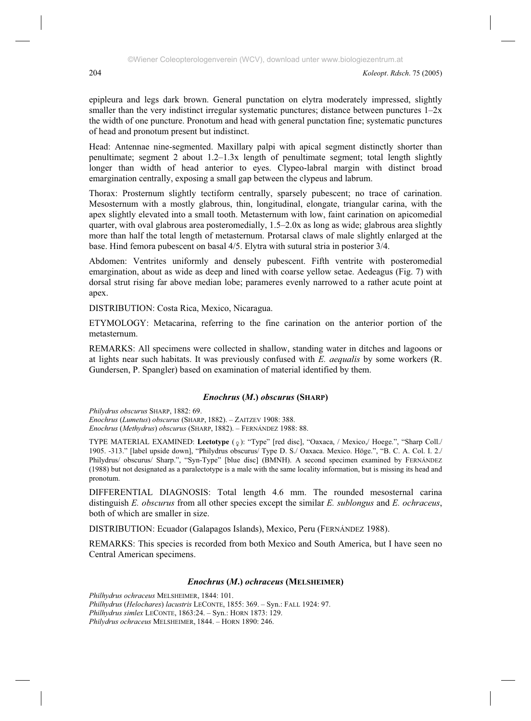epipleura and legs dark brown. General punctation on elytra moderately impressed, slightly smaller than the very indistinct irregular systematic punctures; distance between punctures  $1-2x$ the width of one puncture. Pronotum and head with general punctation fine; systematic punctures of head and pronotum present but indistinct.

Head: Antennae nine-segmented. Maxillary palpi with apical segment distinctly shorter than penultimate; segment 2 about 1.2–1.3x length of penultimate segment; total length slightly longer than width of head anterior to eyes. Clypeo-labral margin with distinct broad emargination centrally, exposing a small gap between the clypeus and labrum.

Thorax: Prosternum slightly tectiform centrally, sparsely pubescent; no trace of carination. Mesosternum with a mostly glabrous, thin, longitudinal, elongate, triangular carina, with the apex slightly elevated into a small tooth. Metasternum with low, faint carination on apicomedial quarter, with oval glabrous area posteromedially, 1.5–2.0x as long as wide; glabrous area slightly more than half the total length of metasternum. Protarsal claws of male slightly enlarged at the base. Hind femora pubescent on basal 4/5. Elytra with sutural stria in posterior 3/4.

Abdomen: Ventrites uniformly and densely pubescent. Fifth ventrite with posteromedial emargination, about as wide as deep and lined with coarse yellow setae. Aedeagus (Fig. 7) with dorsal strut rising far above median lobe; parameres evenly narrowed to a rather acute point at apex.

DISTRIBUTION: Costa Rica, Mexico, Nicaragua.

ETYMOLOGY: Metacarina, referring to the fine carination on the anterior portion of the metasternum.

REMARKS: All specimens were collected in shallow, standing water in ditches and lagoons or at lights near such habitats. It was previously confused with *E. aequalis* by some workers (R. Gundersen, P. Spangler) based on examination of material identified by them.

# *Enochrus* **(***M***.)** *obscurus* **(SHARP)**

*Philydrus obscurus* SHARP, 1882: 69. *Enochrus* (*Lumetus*) *obscurus* (SHARP, 1882). – ZAITZEV 1908: 388. *Enochrus* (*Methydrus*) *obscurus* (SHARP, 1882). – FERNÁNDEZ 1988: 88.

TYPE MATERIAL EXAMINED: Lectotype (2): "Type" [red disc], "Oaxaca, / Mexico,/ Hoege.", "Sharp Coll./ 1905. -313." [label upside down], "Philydrus obscurus/ Type D. S./ Oaxaca. Mexico. Höge.", "B. C. A. Col. I. 2./ Philydrus/ obscurus/ Sharp.", "Syn-Type" [blue disc] (BMNH). A second specimen examined by FERNÁNDEZ (1988) but not designated as a paralectotype is a male with the same locality information, but is missing its head and pronotum.

DIFFERENTIAL DIAGNOSIS: Total length 4.6 mm. The rounded mesosternal carina distinguish *E. obscurus* from all other species except the similar *E. sublongus* and *E. ochraceus*, both of which are smaller in size.

DISTRIBUTION: Ecuador (Galapagos Islands), Mexico, Peru (FERNÁNDEZ 1988).

REMARKS: This species is recorded from both Mexico and South America, but I have seen no Central American specimens.

## *Enochrus* **(***M***.)** *ochraceus* **(MELSHEIMER)**

*Philhydrus ochraceus* MELSHEIMER, 1844: 101. *Philhydrus* (*Helochares*) *lacustris* LECONTE, 1855: 369. – Syn.: FALL 1924: 97. *Philhydrus simlex* LECONTE, 1863:24. – Syn.: HORN 1873: 129. *Philydrus ochraceus* MELSHEIMER, 1844. – HORN 1890: 246.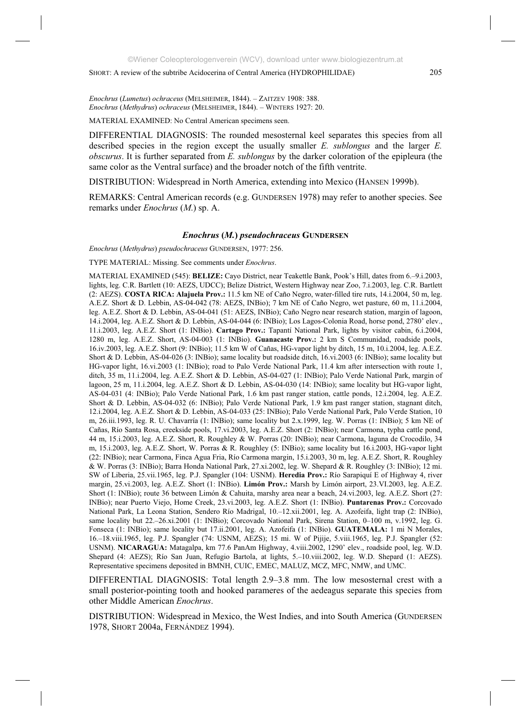*Enochrus* (*Lumetus*) *ochraceus* (MELSHEIMER, 1844). – ZAITZEV 1908: 388. *Enochrus* (*Methydrus*) *ochraceus* (MELSHEIMER, 1844). – WINTERS 1927: 20.

MATERIAL EXAMINED: No Central American specimens seen.

DIFFERENTIAL DIAGNOSIS: The rounded mesosternal keel separates this species from all described species in the region except the usually smaller *E. sublongus* and the larger *E. obscurus*. It is further separated from *E. sublongus* by the darker coloration of the epipleura (the same color as the Ventral surface) and the broader notch of the fifth ventrite.

DISTRIBUTION: Widespread in North America, extending into Mexico (HANSEN 1999b).

REMARKS: Central American records (e.g. GUNDERSEN 1978) may refer to another species. See remarks under *Enochrus* (*M*.) sp. A.

#### *Enochrus* **(***M.***)** *pseudochraceus* **GUNDERSEN**

*Enochrus* (*Methydrus*) *pseudochraceus* GUNDERSEN, 1977: 256.

TYPE MATERIAL: Missing. See comments under *Enochrus*.

MATERIAL EXAMINED (545): **BELIZE:** Cayo District, near Teakettle Bank, Pook's Hill, dates from 6.–9.i.2003, lights, leg. C.R. Bartlett (10: AEZS, UDCC); Belize District, Western Highway near Zoo, 7.i.2003, leg. C.R. Bartlett (2: AEZS). **COSTA RICA: Alajuela Prov.:** 11.5 km NE of Caño Negro, water-filled tire ruts, 14.i.2004, 50 m, leg. A.E.Z. Short & D. Lebbin, AS-04-042 (78: AEZS, INBio); 7 km NE of Caño Negro, wet pasture, 60 m, 11.i.2004, leg. A.E.Z. Short & D. Lebbin, AS-04-041 (51: AEZS, INBio); Caño Negro near research station, margin of lagoon, 14.i.2004, leg. A.E.Z. Short & D. Lebbin, AS-04-044 (6: INBio); Los Lagos-Colonia Road, horse pond, 2780' elev., 11.i.2003, leg. A.E.Z. Short (1: INBio). **Cartago Prov.:** Tapantí National Park, lights by visitor cabin, 6.i.2004, 1280 m, leg. A.E.Z. Short, AS-04-003 (1: INBio). **Guanacaste Prov.:** 2 km S Communidad, roadside pools, 16.iv.2003, leg. A.E.Z. Short (9: INBio); 11.5 km W of Cañas, HG-vapor light by ditch, 15 m, 10.i.2004, leg. A.E.Z. Short & D. Lebbin, AS-04-026 (3: INBio); same locality but roadside ditch, 16.vi.2003 (6: INBio); same locality but HG-vapor light, 16.vi.2003 (1: INBio); road to Palo Verde National Park, 11.4 km after intersection with route 1, ditch, 35 m, 11.i.2004, leg. A.E.Z. Short & D. Lebbin, AS-04-027 (1: INBio); Palo Verde National Park, margin of lagoon, 25 m, 11.i.2004, leg. A.E.Z. Short & D. Lebbin, AS-04-030 (14: INBio); same locality but HG-vapor light, AS-04-031 (4: INBio); Palo Verde National Park, 1.6 km past ranger station, cattle ponds, 12.i.2004, leg. A.E.Z. Short & D. Lebbin, AS-04-032 (6: INBio); Palo Verde National Park, 1.9 km past ranger station, stagnant ditch, 12.i.2004, leg. A.E.Z. Short & D. Lebbin, AS-04-033 (25: INBio); Palo Verde National Park, Palo Verde Station, 10 m, 26.iii.1993, leg. R. U. Chavarría (1: INBio); same locality but 2.x.1999, leg. W. Porras (1: INBio); 5 km NE of Cañas, Río Santa Rosa, creekside pools, 17.vi.2003, leg. A.E.Z. Short (2: INBio); near Carmona, typha cattle pond, 44 m, 15.i.2003, leg. A.E.Z. Short, R. Roughley & W. Porras (20: INBio); near Carmona, laguna de Crocodilo, 34 m, 15.i.2003, leg. A.E.Z. Short, W. Porras & R. Roughley (5: INBio); same locality but 16.i.2003, HG-vapor light (22: INBio); near Carmona, Finca Agua Fria, Río Carmona margin, 15.i.2003, 30 m, leg. A.E.Z. Short, R. Roughley & W. Porras (3: INBio); Barra Honda National Park, 27.xi.2002, leg. W. Shepard & R. Roughley (3: INBio); 12 mi. SW of Liberia, 25.vii.1965, leg. P.J. Spangler (104: USNM). **Heredia Prov.:** Río Sarapiquí E of Highway 4, river margin, 25.vi.2003, leg. A.E.Z. Short (1: INBio). **Limón Prov.:** Marsh by Limón airport, 23.VI.2003, leg. A.E.Z. Short (1: INBio); route 36 between Limón & Cahuita, marshy area near a beach, 24.vi.2003, leg. A.E.Z. Short (27: INBio); near Puerto Viejo, Home Creek, 23.vi.2003, leg. A.E.Z. Short (1: INBio). **Puntarenas Prov.:** Corcovado National Park, La Leona Station, Sendero Río Madrigal, 10.–12.xii.2001, leg. A. Azofeifa, light trap (2: INBio), same locality but 22.–26.xi.2001 (1: INBio); Corcovado National Park, Sirena Station, 0–100 m, v.1992, leg. G. Fonseca (1: INBio); same locality but 17.ii.2001, leg. A. Azofeifa (1: INBio). **GUATEMALA:** 1 mi N Morales, 16.–18.viii.1965, leg. P.J. Spangler (74: USNM, AEZS); 15 mi. W of Pijije, 5.viii.1965, leg. P.J. Spangler (52: USNM). **NICARAGUA:** Matagalpa, km 77.6 PanAm Highway, 4.viii.2002, 1290' elev., roadside pool, leg. W.D. Shepard (4: AEZS); Río San Juan, Refugio Bartola, at lights, 5.–10.viii.2002, leg. W.D. Shepard (1: AEZS). Representative specimens deposited in BMNH, CUIC, EMEC, MALUZ, MCZ, MFC, NMW, and UMC.

DIFFERENTIAL DIAGNOSIS: Total length 2.9–3.8 mm. The low mesosternal crest with a small posterior-pointing tooth and hooked parameres of the aedeagus separate this species from other Middle American *Enochrus*.

DISTRIBUTION: Widespread in Mexico, the West Indies, and into South America (GUNDERSEN 1978, SHORT 2004a, FERNÁNDEZ 1994).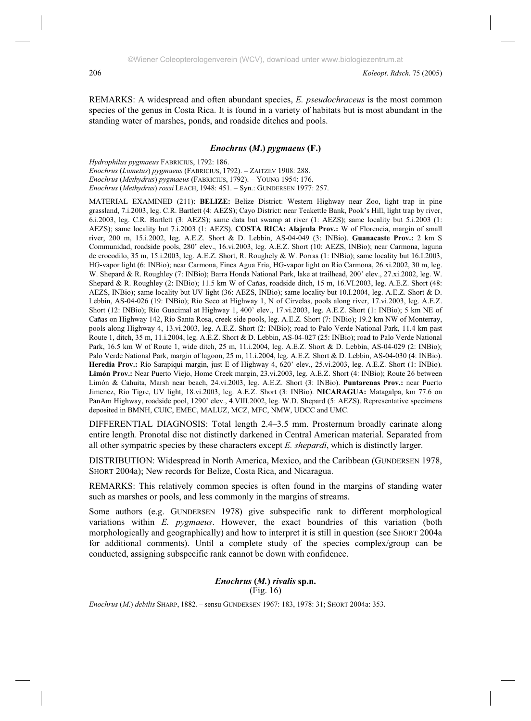REMARKS: A widespread and often abundant species, *E. pseudochraceus* is the most common species of the genus in Costa Rica. It is found in a variety of habitats but is most abundant in the standing water of marshes, ponds, and roadside ditches and pools.

#### *Enochrus* **(***M***.)** *pygmaeus* **(F.)**

*Hydrophilus pygmaeus* FABRICIUS, 1792: 186. *Enochrus* (*Lumetus*) *pygmaeus* (FABRICIUS, 1792). – ZAITZEV 1908: 288. *Enochrus* (*Methydrus*) *pygmaeus* (FABRICIUS, 1792). – YOUNG 1954: 176. *Enochrus* (*Methydrus*) *rossi* LEACH, 1948: 451. – Syn.: GUNDERSEN 1977: 257.

MATERIAL EXAMINED (211): **BELIZE:** Belize District: Western Highway near Zoo, light trap in pine grassland, 7.i.2003, leg. C.R. Bartlett (4: AEZS); Cayo District: near Teakettle Bank, Pook's Hill, light trap by river, 6.i.2003, leg. C.R. Bartlett (3: AEZS); same data but swamp at river (1: AEZS); same locality but 5.i.2003 (1: AEZS); same locality but 7.i.2003 (1: AEZS). **COSTA RICA: Alajeula Prov.:** W of Florencia, margin of small river, 200 m, 15.i.2002, leg. A.E.Z. Short & D. Lebbin, AS-04-049 (3: INBio). **Guanacaste Prov.:** 2 km S Communidad, roadside pools, 280' elev., 16.vi.2003, leg. A.E.Z. Short (10: AEZS, INBio); near Carmona, laguna de crocodilo, 35 m, 15.i.2003, leg. A.E.Z. Short, R. Roughely & W. Porras (1: INBio); same locality but 16.I.2003, HG-vapor light (6: INBio); near Carmona, Finca Agua Fria, HG-vapor light on Río Carmona, 26.xi.2002, 30 m, leg. W. Shepard & R. Roughley (7: INBio); Barra Honda National Park, lake at trailhead, 200' elev., 27.xi.2002, leg. W. Shepard & R. Roughley (2: INBio); 11.5 km W of Cañas, roadside ditch, 15 m, 16.VI.2003, leg. A.E.Z. Short (48: AEZS, INBio); same locality but UV light (36: AEZS, INBio); same locality but 10.I.2004, leg. A.E.Z. Short & D. Lebbin, AS-04-026 (19: INBio); Río Seco at Highway 1, N of Cirvelas, pools along river, 17.vi.2003, leg. A.E.Z. Short (12: INBio); Río Guacimal at Highway 1, 400' elev., 17.vi.2003, leg. A.E.Z. Short (1: INBio); 5 km NE of Cañas on Highway 142, Río Santa Rosa, creek side pools, leg. A.E.Z. Short (7: INBio); 19.2 km NW of Monterray, pools along Highway 4, 13.vi.2003, leg. A.E.Z. Short (2: INBio); road to Palo Verde National Park, 11.4 km past Route 1, ditch, 35 m, 11.i.2004, leg. A.E.Z. Short & D. Lebbin, AS-04-027 (25: INBio); road to Palo Verde National Park, 16.5 km W of Route 1, wide ditch, 25 m, 11.i.2004, leg. A.E.Z. Short & D. Lebbin, AS-04-029 (2: INBio); Palo Verde National Park, margin of lagoon, 25 m, 11.i.2004, leg. A.E.Z. Short & D. Lebbin, AS-04-030 (4: INBio). **Heredia Prov.:** Río Sarapiqui margin, just E of Highway 4, 620' elev., 25.vi.2003, leg. A.E.Z. Short (1: INBio). **Limón Prov.:** Near Puerto Viejo, Home Creek margin, 23.vi.2003, leg. A.E.Z. Short (4: INBio); Route 26 between Limón & Cahuita, Marsh near beach, 24.vi.2003, leg. A.E.Z. Short (3: INBio). **Puntarenas Prov.:** near Puerto Jimenez, Río Tigre, UV light, 18.vi.2003, leg. A.E.Z. Short (3: INBio). **NICARAGUA:** Matagalpa, km 77.6 on PanAm Highway, roadside pool, 1290' elev., 4.VIII.2002, leg. W.D. Shepard (5: AEZS). Representative specimens deposited in BMNH, CUIC, EMEC, MALUZ, MCZ, MFC, NMW, UDCC and UMC.

DIFFERENTIAL DIAGNOSIS: Total length 2.4–3.5 mm. Prosternum broadly carinate along entire length. Pronotal disc not distinctly darkened in Central American material. Separated from all other sympatric species by these characters except *E. shepardi*, which is distinctly larger.

DISTRIBUTION: Widespread in North America, Mexico, and the Caribbean (GUNDERSEN 1978, SHORT 2004a); New records for Belize, Costa Rica, and Nicaragua.

REMARKS: This relatively common species is often found in the margins of standing water such as marshes or pools, and less commonly in the margins of streams.

Some authors (e.g. GUNDERSEN 1978) give subspecific rank to different morphological variations within *E. pygmaeus*. However, the exact boundries of this variation (both morphologically and geographically) and how to interpret it is still in question (see SHORT 2004a for additional comments). Until a complete study of the species complex/group can be conducted, assigning subspecific rank cannot be down with confidence.

# *Enochrus* **(***M.***)** *rivalis* **sp.n.**  (Fig. 16)

*Enochrus* (*M*.) *debilis* SHARP, 1882. – sensu GUNDERSEN 1967: 183, 1978: 31; SHORT 2004a: 353.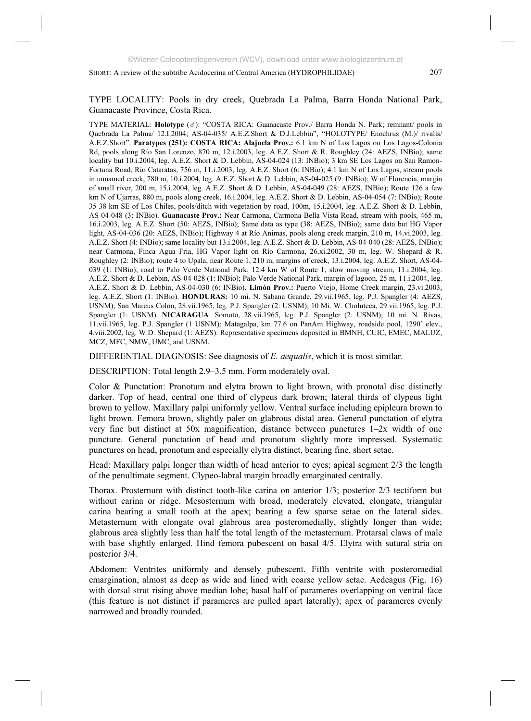TYPE LOCALITY: Pools in dry creek, Quebrada La Palma, Barra Honda National Park, Guanacaste Province, Costa Rica.

TYPE MATERIAL: **Holotype** ( ): "COSTA RICA: Guanacaste Prov./ Barra Honda N. Park; remnant/ pools in Quebrada La Palma/ 12.I.2004; AS-04-035/ A.E.Z.Short & D.J.Lebbin", "HOLOTYPE/ Enochrus (M.)/ rivalis/ A.E.Z.Short". **Paratypes (251): COSTA RICA: Alajuela Prov.:** 6.1 km N of Los Lagos on Los Lagos-Colonia Rd, pools along Río San Lorenzo, 870 m, 12.i.2003, leg. A.E.Z. Short & R. Roughley (24: AEZS, INBio); same locality but 10.i.2004, leg. A.E.Z. Short & D. Lebbin, AS-04-024 (13: INBio); 3 km SE Los Lagos on San Ramon-Fortuna Road, Río Cataratas, 756 m, 11.i.2003, leg. A.E.Z. Short (6: INBio); 4.1 km N of Los Lagos, stream pools in unnamed creek, 780 m, 10.i.2004, leg. A.E.Z. Short & D. Lebbin, AS-04-025 (9: INBio); W of Florencia, margin of small river, 200 m, 15.i.2004, leg. A.E.Z. Short & D. Lebbin, AS-04-049 (28: AEZS, INBio); Route 126 a few km N of Ujarras, 880 m, pools along creek, 16.i.2004, leg. A.E.Z. Short & D. Lebbin, AS-04-054 (7: INBio); Route 35 38 km SE of Los Chiles, pools/ditch with vegetation by road, 100m, 15.i.2004, leg. A.E.Z. Short & D. Lebbin, AS-04-048 (3: INBio). **Guanacaste Prov.:** Near Carmona, Carmona-Bella Vista Road, stream with pools, 465 m, 16.i.2003, leg. A.E.Z. Short (50: AEZS, INBio); Same data as type (38: AEZS, INBio); same data but HG Vapor light, AS-04-036 (20: AEZS, INBio); Highway 4 at Río Animas, pools along creek margin, 210 m, 14.vi.2003, leg. A.E.Z. Short (4: INBio); same locality but 13.i.2004, leg. A.E.Z. Short & D. Lebbin, AS-04-040 (28: AEZS, INBio); near Carmona, Finca Agua Fria, HG Vapor light on Río Carmona, 26.xi.2002, 30 m, leg. W. Shepard & R. Roughley (2: INBio); route 4 to Upala, near Route 1, 210 m, margins of creek, 13.i.2004, leg. A.E.Z. Short, AS-04- 039 (1: INBio); road to Palo Verde National Park, 12.4 km W of Route 1, slow moving stream, 11.i.2004, leg. A.E.Z. Short & D. Lebbin, AS-04-028 (1: INBio); Palo Verde National Park, margin of lagoon, 25 m, 11.i.2004, leg. A.E.Z. Short & D. Lebbin, AS-04-030 (6: INBio). **Limón Prov.:** Puerto Viejo, Home Creek margin, 23.vi.2003, leg. A.E.Z. Short (1: INBio). **HONDURAS:** 10 mi. N. Sabana Grande, 29.vii.1965, leg. P.J. Spangler (4: AEZS, USNM); San Marcus Colon, 28.vii.1965, leg. P.J. Spangler (2: USNM); 10 Mi. W. Choluteca, 29.vii.1965, leg. P.J. Spangler (1: USNM). **NICARAGUA**: Somoto, 28.vii.1965, leg. P.J. Spangler (2: USNM); 10 mi. N. Rivas, 11.vii.1965, leg. P.J. Spangler (1 USNM); Matagalpa, km 77.6 on PanAm Highway, roadside pool, 1290' elev., 4.viii.2002, leg. W.D. Shepard (1: AEZS). Representative specimens deposited in BMNH, CUIC, EMEC, MALUZ, MCZ, MFC, NMW, UMC, and USNM.

DIFFERENTIAL DIAGNOSIS: See diagnosis of *E. aequalis*, which it is most similar.

DESCRIPTION: Total length 2.9–3.5 mm. Form moderately oval.

Color & Punctation: Pronotum and elytra brown to light brown, with pronotal disc distinctly darker. Top of head, central one third of clypeus dark brown; lateral thirds of clypeus light brown to yellow. Maxillary palpi uniformly yellow. Ventral surface including epipleura brown to light brown. Femora brown, slightly paler on glabrous distal area. General punctation of elytra very fine but distinct at 50x magnification, distance between punctures 1–2x width of one puncture. General punctation of head and pronotum slightly more impressed. Systematic punctures on head, pronotum and especially elytra distinct, bearing fine, short setae.

Head: Maxillary palpi longer than width of head anterior to eyes; apical segment 2/3 the length of the penultimate segment. Clypeo-labral margin broadly emarginated centrally.

Thorax. Prosternum with distinct tooth-like carina on anterior 1/3; posterior 2/3 tectiform but without carina or ridge. Mesosternum with broad, moderately elevated, elongate, triangular carina bearing a small tooth at the apex; bearing a few sparse setae on the lateral sides. Metasternum with elongate oval glabrous area posteromedially, slightly longer than wide; glabrous area slightly less than half the total length of the metasternum. Protarsal claws of male with base slightly enlarged. Hind femora pubescent on basal 4/5. Elytra with sutural stria on posterior 3/4.

Abdomen: Ventrites uniformly and densely pubescent. Fifth ventrite with posteromedial emargination, almost as deep as wide and lined with coarse yellow setae. Aedeagus (Fig. 16) with dorsal strut rising above median lobe; basal half of parameres overlapping on ventral face (this feature is not distinct if parameres are pulled apart laterally); apex of parameres evenly narrowed and broadly rounded.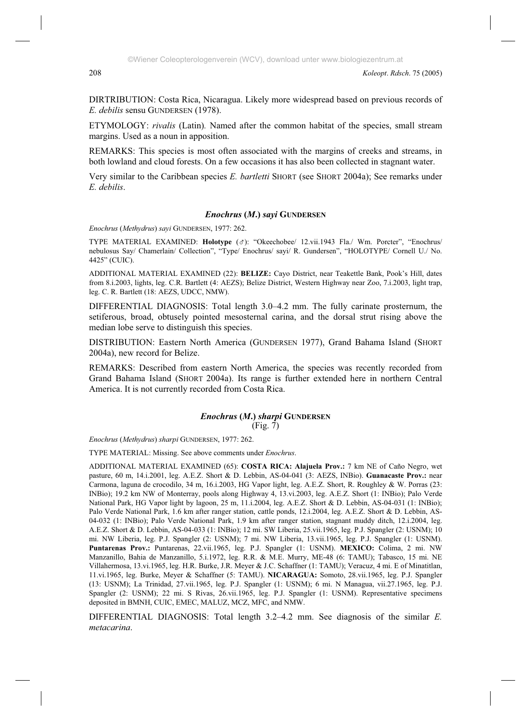DIRTRIBUTION: Costa Rica, Nicaragua. Likely more widespread based on previous records of *E. debilis* sensu GUNDERSEN (1978).

ETYMOLOGY: *rivalis* (Latin)*.* Named after the common habitat of the species, small stream margins. Used as a noun in apposition.

REMARKS: This species is most often associated with the margins of creeks and streams, in both lowland and cloud forests. On a few occasions it has also been collected in stagnant water.

Very similar to the Caribbean species *E. bartletti* SHORT (see SHORT 2004a); See remarks under *E. debilis*.

## *Enochrus* **(***M***.)** *sayi* **GUNDERSEN**

*Enochrus* (*Methydrus*) *sayi* GUNDERSEN, 1977: 262.

TYPE MATERIAL EXAMINED: **Holotype** ( $\sigma$ ): "Okeechobee/ 12.vii.1943 Fla./ Wm. Porcter", "Enochrus/ nebulosus Say/ Chamerlain/ Collection", "Type/ Enochrus/ sayi/ R. Gundersen", "HOLOTYPE/ Cornell U./ No. 4425" (CUIC).

ADDITIONAL MATERIAL EXAMINED (22): **BELIZE:** Cayo District, near Teakettle Bank, Pook's Hill, dates from 8.i.2003, lights, leg. C.R. Bartlett (4: AEZS); Belize District, Western Highway near Zoo, 7.i.2003, light trap, leg. C. R. Bartlett (18: AEZS, UDCC, NMW).

DIFFERENTIAL DIAGNOSIS: Total length 3.0–4.2 mm. The fully carinate prosternum, the setiferous, broad, obtusely pointed mesosternal carina, and the dorsal strut rising above the median lobe serve to distinguish this species.

DISTRIBUTION: Eastern North America (GUNDERSEN 1977), Grand Bahama Island (SHORT 2004a), new record for Belize.

REMARKS: Described from eastern North America, the species was recently recorded from Grand Bahama Island (SHORT 2004a). Its range is further extended here in northern Central America. It is not currently recorded from Costa Rica.

#### *Enochrus* **(***M***.)** *sharpi* **GUNDERSEN** (Fig. 7)

*Enochrus* (*Methydrus*) *sharpi* GUNDERSEN, 1977: 262.

TYPE MATERIAL: Missing. See above comments under *Enochrus*.

ADDITIONAL MATERIAL EXAMINED (65): **COSTA RICA: Alajuela Prov.:** 7 km NE of Caño Negro, wet pasture, 60 m, 14.i.2001, leg. A.E.Z. Short & D. Lebbin, AS-04-041 (3: AEZS, INBio). **Guanacaste Prov.:** near Carmona, laguna de crocodilo, 34 m, 16.i.2003, HG Vapor light, leg. A.E.Z. Short, R. Roughley & W. Porras (23: INBio); 19.2 km NW of Monterray, pools along Highway 4, 13.vi.2003, leg. A.E.Z. Short (1: INBio); Palo Verde National Park, HG Vapor light by lagoon, 25 m, 11.i.2004, leg. A.E.Z. Short & D. Lebbin, AS-04-031 (1: INBio); Palo Verde National Park, 1.6 km after ranger station, cattle ponds, 12.i.2004, leg. A.E.Z. Short & D. Lebbin, AS-04-032 (1: INBio); Palo Verde National Park, 1.9 km after ranger station, stagnant muddy ditch, 12.i.2004, leg. A.E.Z. Short & D. Lebbin, AS-04-033 (1: INBio); 12 mi. SW Liberia, 25.vii.1965, leg. P.J. Spangler (2: USNM); 10 mi. NW Liberia, leg. P.J. Spangler (2: USNM); 7 mi. NW Liberia, 13.vii.1965, leg. P.J. Spangler (1: USNM). **Puntarenas Prov.:** Puntarenas, 22.vii.1965, leg. P.J. Spangler (1: USNM). **MEXICO:** Colima, 2 mi. NW Manzanillo, Bahia de Manzanillo, 5.i.1972, leg. R.R. & M.E. Murry, ME-48 (6: TAMU); Tabasco, 15 mi. NE Villahermosa, 13.vi.1965, leg. H.R. Burke, J.R. Meyer & J.C. Schaffner (1: TAMU); Veracuz, 4 mi. E of Minatitlan, 11.vi.1965, leg. Burke, Meyer & Schaffner (5: TAMU). **NICARAGUA:** Somoto, 28.vii.1965, leg. P.J. Spangler (13: USNM); La Trinidad, 27.vii.1965, leg. P.J. Spangler (1: USNM); 6 mi. N Managua, vii.27.1965, leg. P.J. Spangler (2: USNM); 22 mi. S Rivas, 26.vii.1965, leg. P.J. Spangler (1: USNM). Representative specimens deposited in BMNH, CUIC, EMEC, MALUZ, MCZ, MFC, and NMW.

DIFFERENTIAL DIAGNOSIS: Total length 3.2–4.2 mm. See diagnosis of the similar *E. metacarina*.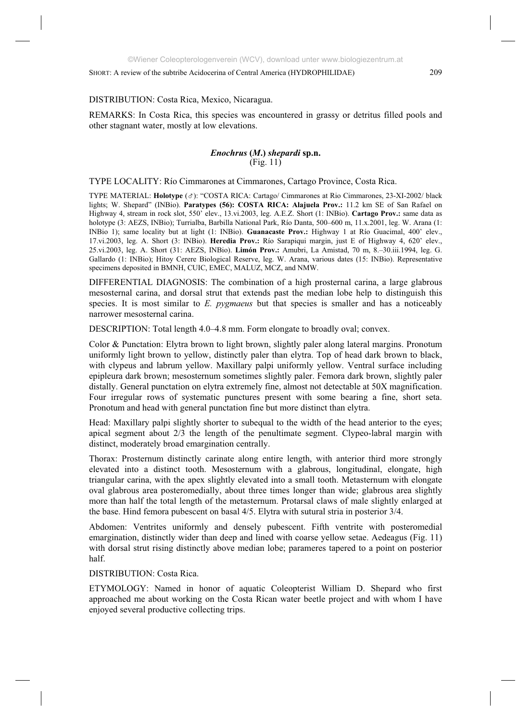# DISTRIBUTION: Costa Rica, Mexico, Nicaragua.

REMARKS: In Costa Rica, this species was encountered in grassy or detritus filled pools and other stagnant water, mostly at low elevations.

# *Enochrus* **(***M***.)** *shepardi* **sp.n.**   $(Fig. 11)$

TYPE LOCALITY: Río Cimmarones at Cimmarones, Cartago Province, Costa Rica.

TYPE MATERIAL: **Holotype** ( ): "COSTA RICA: Cartago/ Cimmarones at Rio Cimmarones, 23-XI-2002/ black lights; W. Shepard" (INBio). **Paratypes (56): COSTA RICA: Alajuela Prov.:** 11.2 km SE of San Rafael on Highway 4, stream in rock slot, 550' elev., 13.vi.2003, leg. A.E.Z. Short (1: INBio). **Cartago Prov.:** same data as holotype (3: AEZS, INBio); Turrialba, Barbilla National Park, Río Danta, 500–600 m, 11.x.2001, leg. W. Arana (1: INBio 1); same locality but at light (1: INBio). **Guanacaste Prov.:** Highway 1 at Río Guacimal, 400' elev., 17.vi.2003, leg. A. Short (3: INBio). **Heredia Prov.:** Río Sarapiqui margin, just E of Highway 4, 620' elev., 25.vi.2003, leg. A. Short (31: AEZS, INBio). **Limón Prov.:** Amubri, La Amistad, 70 m, 8.–30.iii.1994, leg. G. Gallardo (1: INBio); Hitoy Cerere Biological Reserve, leg. W. Arana, various dates (15: INBio). Representative specimens deposited in BMNH, CUIC, EMEC, MALUZ, MCZ, and NMW.

DIFFERENTIAL DIAGNOSIS: The combination of a high prosternal carina, a large glabrous mesosternal carina, and dorsal strut that extends past the median lobe help to distinguish this species. It is most similar to *E. pygmaeus* but that species is smaller and has a noticeably narrower mesosternal carina.

DESCRIPTION: Total length 4.0–4.8 mm. Form elongate to broadly oval; convex.

Color & Punctation: Elytra brown to light brown, slightly paler along lateral margins. Pronotum uniformly light brown to yellow, distinctly paler than elytra. Top of head dark brown to black, with clypeus and labrum yellow. Maxillary palpi uniformly yellow. Ventral surface including epipleura dark brown; mesosternum sometimes slightly paler. Femora dark brown, slightly paler distally. General punctation on elytra extremely fine, almost not detectable at 50X magnification. Four irregular rows of systematic punctures present with some bearing a fine, short seta. Pronotum and head with general punctation fine but more distinct than elytra.

Head: Maxillary palpi slightly shorter to subequal to the width of the head anterior to the eyes; apical segment about 2/3 the length of the penultimate segment. Clypeo-labral margin with distinct, moderately broad emargination centrally.

Thorax: Prosternum distinctly carinate along entire length, with anterior third more strongly elevated into a distinct tooth. Mesosternum with a glabrous, longitudinal, elongate, high triangular carina, with the apex slightly elevated into a small tooth. Metasternum with elongate oval glabrous area posteromedially, about three times longer than wide; glabrous area slightly more than half the total length of the metasternum. Protarsal claws of male slightly enlarged at the base. Hind femora pubescent on basal 4/5. Elytra with sutural stria in posterior 3/4.

Abdomen: Ventrites uniformly and densely pubescent. Fifth ventrite with posteromedial emargination, distinctly wider than deep and lined with coarse yellow setae. Aedeagus (Fig. 11) with dorsal strut rising distinctly above median lobe; parameres tapered to a point on posterior half.

DISTRIBUTION: Costa Rica.

ETYMOLOGY: Named in honor of aquatic Coleopterist William D. Shepard who first approached me about working on the Costa Rican water beetle project and with whom I have enjoyed several productive collecting trips.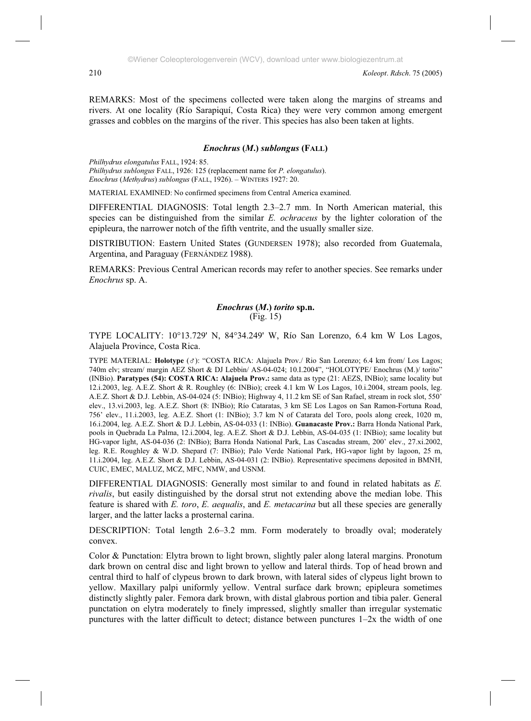REMARKS: Most of the specimens collected were taken along the margins of streams and rivers. At one locality (Río Sarapiquí, Costa Rica) they were very common among emergent grasses and cobbles on the margins of the river. This species has also been taken at lights.

# *Enochrus* **(***M***.)** *sublongus* **(FALL)**

*Philhydrus elongatulus* FALL, 1924: 85. *Philhydrus sublongus* FALL, 1926: 125 (replacement name for *P. elongatulus*). *Enochrus* (*Methydrus*) *sublongus* (FALL, 1926). – WINTERS 1927: 20.

MATERIAL EXAMINED: No confirmed specimens from Central America examined.

DIFFERENTIAL DIAGNOSIS: Total length 2.3–2.7 mm. In North American material, this species can be distinguished from the similar *E. ochraceus* by the lighter coloration of the epipleura, the narrower notch of the fifth ventrite, and the usually smaller size.

DISTRIBUTION: Eastern United States (GUNDERSEN 1978); also recorded from Guatemala, Argentina, and Paraguay (FERNÁNDEZ 1988).

REMARKS: Previous Central American records may refer to another species. See remarks under *Enochrus* sp. A.

## *Enochrus* **(***M***.)** *torito* **sp.n.**  (Fig. 15)

TYPE LOCALITY: 10°13.729' N, 84°34.249' W, Río San Lorenzo, 6.4 km W Los Lagos, Alajuela Province, Costa Rica.

TYPE MATERIAL: **Holotype** ( ): "COSTA RICA: Alajuela Prov./ Rio San Lorenzo; 6.4 km from/ Los Lagos; 740m elv; stream/ margin AEZ Short & DJ Lebbin/ AS-04-024; 10.I.2004", "HOLOTYPE/ Enochrus (M.)/ torito" (INBio). **Paratypes (54): COSTA RICA: Alajuela Prov.:** same data as type (21: AEZS, INBio); same locality but 12.i.2003, leg. A.E.Z. Short & R. Roughley (6: INBio); creek 4.1 km W Los Lagos, 10.i.2004, stream pools, leg. A.E.Z. Short & D.J. Lebbin, AS-04-024 (5: INBio); Highway 4, 11.2 km SE of San Rafael, stream in rock slot, 550' elev., 13.vi.2003, leg. A.E.Z. Short (8: INBio); Río Cataratas, 3 km SE Los Lagos on San Ramon-Fortuna Road, 756' elev., 11.i.2003, leg. A.E.Z. Short (1: INBio); 3.7 km N of Catarata del Toro, pools along creek, 1020 m, 16.i.2004, leg. A.E.Z. Short & D.J. Lebbin, AS-04-033 (1: INBio). **Guanacaste Prov.:** Barra Honda National Park, pools in Quebrada La Palma, 12.i.2004, leg. A.E.Z. Short & D.J. Lebbin, AS-04-035 (1: INBio); same locality but HG-vapor light, AS-04-036 (2: INBio); Barra Honda National Park, Las Cascadas stream, 200' elev., 27.xi.2002, leg. R.E. Roughley & W.D. Shepard (7: INBio); Palo Verde National Park, HG-vapor light by lagoon, 25 m, 11.i.2004, leg. A.E.Z. Short & D.J. Lebbin, AS-04-031 (2: INBio). Representative specimens deposited in BMNH, CUIC, EMEC, MALUZ, MCZ, MFC, NMW, and USNM.

DIFFERENTIAL DIAGNOSIS: Generally most similar to and found in related habitats as *E. rivalis*, but easily distinguished by the dorsal strut not extending above the median lobe. This feature is shared with *E. toro*, *E. aequalis*, and *E. metacarina* but all these species are generally larger, and the latter lacks a prosternal carina.

DESCRIPTION: Total length 2.6–3.2 mm. Form moderately to broadly oval; moderately convex.

Color & Punctation: Elytra brown to light brown, slightly paler along lateral margins. Pronotum dark brown on central disc and light brown to yellow and lateral thirds. Top of head brown and central third to half of clypeus brown to dark brown, with lateral sides of clypeus light brown to yellow. Maxillary palpi uniformly yellow. Ventral surface dark brown; epipleura sometimes distinctly slightly paler. Femora dark brown, with distal glabrous portion and tibia paler. General punctation on elytra moderately to finely impressed, slightly smaller than irregular systematic punctures with the latter difficult to detect; distance between punctures 1–2x the width of one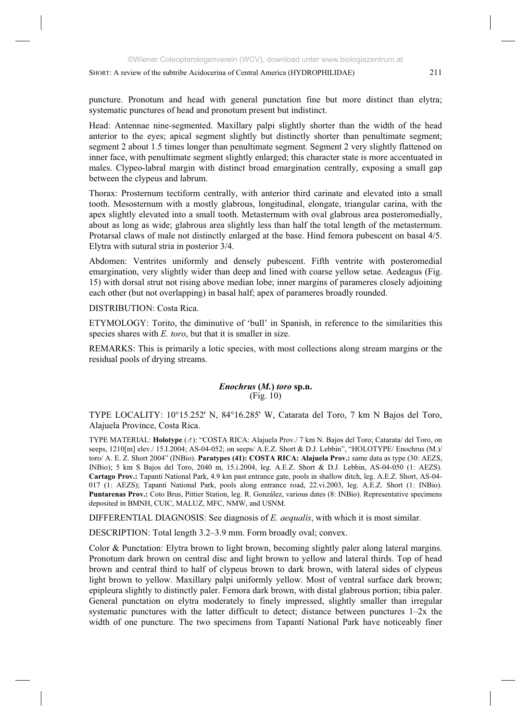Head: Antennae nine-segmented. Maxillary palpi slightly shorter than the width of the head anterior to the eyes; apical segment slightly but distinctly shorter than penultimate segment; segment 2 about 1.5 times longer than penultimate segment. Segment 2 very slightly flattened on inner face, with penultimate segment slightly enlarged; this character state is more accentuated in males. Clypeo-labral margin with distinct broad emargination centrally, exposing a small gap between the clypeus and labrum.

Thorax: Prosternum tectiform centrally, with anterior third carinate and elevated into a small tooth. Mesosternum with a mostly glabrous, longitudinal, elongate, triangular carina, with the apex slightly elevated into a small tooth. Metasternum with oval glabrous area posteromedially, about as long as wide; glabrous area slightly less than half the total length of the metasternum. Protarsal claws of male not distinctly enlarged at the base. Hind femora pubescent on basal 4/5. Elytra with sutural stria in posterior 3/4.

Abdomen: Ventrites uniformly and densely pubescent. Fifth ventrite with posteromedial emargination, very slightly wider than deep and lined with coarse yellow setae. Aedeagus (Fig. 15) with dorsal strut not rising above median lobe; inner margins of parameres closely adjoining each other (but not overlapping) in basal half; apex of parameres broadly rounded.

DISTRIBUTION: Costa Rica.

ETYMOLOGY: Torito, the diminutive of 'bull' in Spanish, in reference to the similarities this species shares with *E. toro*, but that it is smaller in size.

REMARKS: This is primarily a lotic species, with most collections along stream margins or the residual pools of drying streams.

# *Enochrus* **(***M.***)** *toro* **sp.n.**  (Fig. 10)

TYPE LOCALITY: 10°15.252' N, 84°16.285' W, Catarata del Toro, 7 km N Bajos del Toro, Alajuela Province, Costa Rica.

TYPE MATERIAL: **Holotype** ( ): "COSTA RICA: Alajuela Prov./ 7 km N. Bajos del Toro; Catarata/ del Toro, on seeps,  $1210$ [m] elev./ 15.I.2004; AS-04-052; on seeps/ A.E.Z. Short & D.J. Lebbin", "HOLOTYPE/ Enochrus (M.)/ toro/ A. E. Z. Short 2004" (INBio). **Paratypes (41): COSTA RICA: Alajuela Prov.:** same data as type (30: AEZS, INBio); 5 km S Bajos del Toro, 2040 m, 15.i.2004, leg. A.E.Z. Short & D.J. Lebbin, AS-04-050 (1: AEZS). **Cartago Prov.:** Tapantí National Park, 4.9 km past entrance gate, pools in shallow ditch, leg. A.E.Z. Short, AS-04- 017 (1: AEZS); Tapantí National Park, pools along entrance road, 22.vi.2003, leg. A.E.Z. Short (1: INBio). **Puntarenas Prov.:** Coto Brus, Pittier Station, leg. R. González, various dates (8: INBio). Representative specimens deposited in BMNH, CUIC, MALUZ, MFC, NMW, and USNM.

DIFFERENTIAL DIAGNOSIS: See diagnosis of *E. aequalis*, with which it is most similar.

DESCRIPTION: Total length 3.2–3.9 mm. Form broadly oval; convex.

Color & Punctation: Elytra brown to light brown, becoming slightly paler along lateral margins. Pronotum dark brown on central disc and light brown to yellow and lateral thirds. Top of head brown and central third to half of clypeus brown to dark brown, with lateral sides of clypeus light brown to yellow. Maxillary palpi uniformly yellow. Most of ventral surface dark brown; epipleura slightly to distinctly paler. Femora dark brown, with distal glabrous portion; tibia paler. General punctation on elytra moderately to finely impressed, slightly smaller than irregular systematic punctures with the latter difficult to detect; distance between punctures  $1-2x$  the width of one puncture. The two specimens from Tapantí National Park have noticeably finer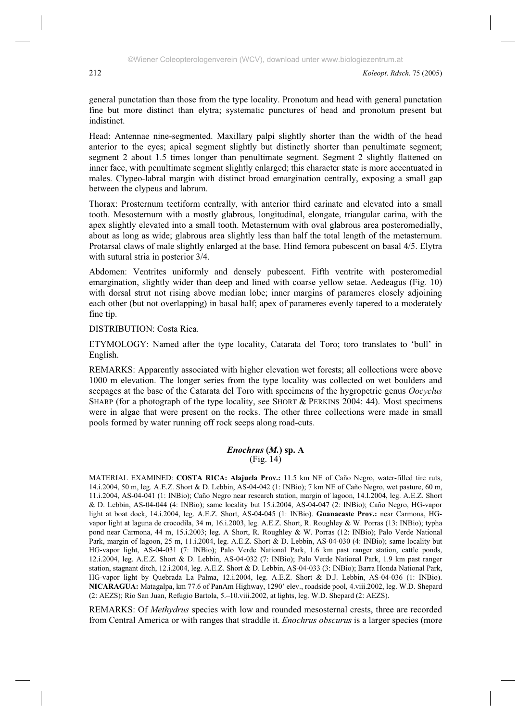general punctation than those from the type locality. Pronotum and head with general punctation fine but more distinct than elytra; systematic punctures of head and pronotum present but indistinct.

Head: Antennae nine-segmented. Maxillary palpi slightly shorter than the width of the head anterior to the eyes; apical segment slightly but distinctly shorter than penultimate segment; segment 2 about 1.5 times longer than penultimate segment. Segment 2 slightly flattened on inner face, with penultimate segment slightly enlarged; this character state is more accentuated in males. Clypeo-labral margin with distinct broad emargination centrally, exposing a small gap between the clypeus and labrum.

Thorax: Prosternum tectiform centrally, with anterior third carinate and elevated into a small tooth. Mesosternum with a mostly glabrous, longitudinal, elongate, triangular carina, with the apex slightly elevated into a small tooth. Metasternum with oval glabrous area posteromedially, about as long as wide; glabrous area slightly less than half the total length of the metasternum. Protarsal claws of male slightly enlarged at the base. Hind femora pubescent on basal 4/5. Elytra with sutural stria in posterior 3/4.

Abdomen: Ventrites uniformly and densely pubescent. Fifth ventrite with posteromedial emargination, slightly wider than deep and lined with coarse yellow setae. Aedeagus (Fig. 10) with dorsal strut not rising above median lobe; inner margins of parameres closely adjoining each other (but not overlapping) in basal half; apex of parameres evenly tapered to a moderately fine tip.

DISTRIBUTION: Costa Rica.

ETYMOLOGY: Named after the type locality, Catarata del Toro; toro translates to 'bull' in English.

REMARKS: Apparently associated with higher elevation wet forests; all collections were above 1000 m elevation. The longer series from the type locality was collected on wet boulders and seepages at the base of the Catarata del Toro with specimens of the hygropetric genus *Oocyclus* SHARP (for a photograph of the type locality, see SHORT & PERKINS 2004: 44). Most specimens were in algae that were present on the rocks. The other three collections were made in small pools formed by water running off rock seeps along road-cuts.

#### *Enochrus* **(***M.***) sp. A**  (Fig. 14)

MATERIAL EXAMINED: **COSTA RICA: Alajuela Prov.:** 11.5 km NE of Caño Negro, water-filled tire ruts, 14.i.2004, 50 m, leg. A.E.Z. Short & D. Lebbin, AS-04-042 (1: INBio); 7 km NE of Caño Negro, wet pasture, 60 m, 11.i.2004, AS-04-041 (1: INBio); Caño Negro near research station, margin of lagoon, 14.I.2004, leg. A.E.Z. Short & D. Lebbin, AS-04-044 (4: INBio); same locality but 15.i.2004, AS-04-047 (2: INBio); Caño Negro, HG-vapor light at boat dock, 14.i.2004, leg. A.E.Z. Short, AS-04-045 (1: INBio). **Guanacaste Prov.:** near Carmona, HGvapor light at laguna de crocodila, 34 m, 16.i.2003, leg. A.E.Z. Short, R. Roughley & W. Porras (13: INBio); typha pond near Carmona, 44 m, 15.i.2003; leg. A Short, R. Roughley & W. Porras (12: INBio); Palo Verde National Park, margin of lagoon, 25 m, 11.i.2004, leg. A.E.Z. Short & D. Lebbin, AS-04-030 (4: INBio); same locality but HG-vapor light, AS-04-031 (7: INBio); Palo Verde National Park, 1.6 km past ranger station, cattle ponds, 12.i.2004, leg. A.E.Z. Short & D. Lebbin, AS-04-032 (7: INBio); Palo Verde National Park, 1.9 km past ranger station, stagnant ditch, 12.i.2004, leg. A.E.Z. Short & D. Lebbin, AS-04-033 (3: INBio); Barra Honda National Park, HG-vapor light by Quebrada La Palma, 12.i.2004, leg. A.E.Z. Short & D.J. Lebbin, AS-04-036 (1: INBio). **NICARAGUA:** Matagalpa, km 77.6 of PanAm Highway, 1290' elev., roadside pool, 4.viii.2002, leg. W.D. Shepard (2: AEZS); Río San Juan, Refugio Bartola, 5.–10.viii.2002, at lights, leg. W.D. Shepard (2: AEZS).

REMARKS: Of *Methydrus* species with low and rounded mesosternal crests, three are recorded from Central America or with ranges that straddle it. *Enochrus obscurus* is a larger species (more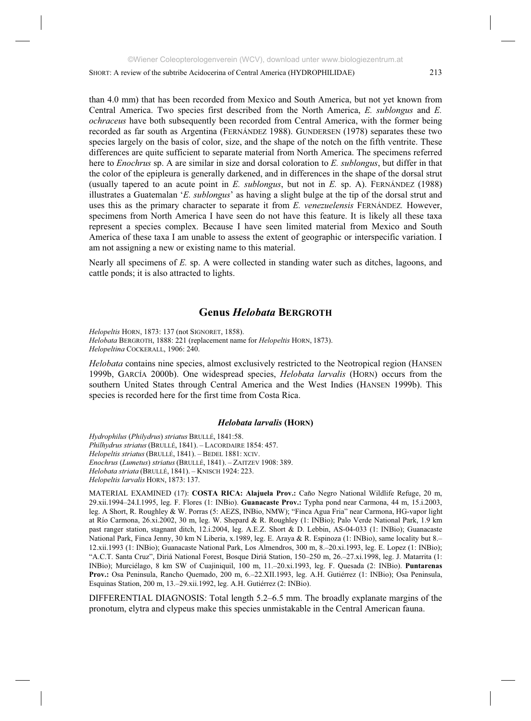than 4.0 mm) that has been recorded from Mexico and South America, but not yet known from Central America. Two species first described from the North America, *E. sublongus* and *E. ochraceus* have both subsequently been recorded from Central America, with the former being recorded as far south as Argentina (FERNÁNDEZ 1988). GUNDERSEN (1978) separates these two species largely on the basis of color, size, and the shape of the notch on the fifth ventrite. These differences are quite sufficient to separate material from North America. The specimens referred here to *Enochrus* sp. A are similar in size and dorsal coloration to *E. sublongus*, but differ in that the color of the epipleura is generally darkened, and in differences in the shape of the dorsal strut (usually tapered to an acute point in *E. sublongus*, but not in *E.* sp. A). FERNÁNDEZ (1988) illustrates a Guatemalan '*E. sublongus*' as having a slight bulge at the tip of the dorsal strut and uses this as the primary character to separate it from *E. venezuelensis* FERNÁNDEZ*.* However, specimens from North America I have seen do not have this feature. It is likely all these taxa represent a species complex. Because I have seen limited material from Mexico and South America of these taxa I am unable to assess the extent of geographic or interspecific variation. I am not assigning a new or existing name to this material.

Nearly all specimens of *E.* sp. A were collected in standing water such as ditches, lagoons, and cattle ponds; it is also attracted to lights.

# **Genus** *Helobata* **BERGROTH**

*Helopeltis* HORN, 1873: 137 (not SIGNORET, 1858). *Helobata* BERGROTH, 1888: 221 (replacement name for *Helopeltis* HORN, 1873). *Helopeltina* COCKERALL, 1906: 240.

*Helobata* contains nine species, almost exclusively restricted to the Neotropical region (HANSEN 1999b, GARCÍA 2000b). One widespread species, *Helobata larvalis* (HORN) occurs from the southern United States through Central America and the West Indies (HANSEN 1999b). This species is recorded here for the first time from Costa Rica.

## *Helobata larvalis* **(HORN)**

*Hydrophilus* (*Philydrus*) *striatus* BRULLÉ, 1841:58. *Philhydrus striatus* (BRULLÉ, 1841). – LACORDAIRE 1854: 457. *Helopeltis striatus* (BRULLÉ, 1841). – BEDEL 1881: XCIV. *Enochrus* (*Lumetus*) *striatus*(BRULLÉ, 1841). – ZAITZEV 1908: 389. *Helobata striata* (BRULLÉ, 1841). – KNISCH 1924: 223. *Helopeltis larvalis* HORN, 1873: 137.

MATERIAL EXAMINED (17): **COSTA RICA: Alajuela Prov.:** Caño Negro National Wildlife Refuge, 20 m, 29.xii.1994–24.I.1995, leg. F. Flores (1: INBio). **Guanacaste Prov.:** Typha pond near Carmona, 44 m, 15.i.2003, leg. A Short, R. Roughley & W. Porras (5: AEZS, INBio, NMW); "Finca Agua Fria" near Carmona, HG-vapor light at Río Carmona, 26.xi.2002, 30 m, leg. W. Shepard & R. Roughley (1: INBio); Palo Verde National Park, 1.9 km past ranger station, stagnant ditch, 12.i.2004, leg. A.E.Z. Short & D. Lebbin, AS-04-033 (1: INBio); Guanacaste National Park, Finca Jenny, 30 km N Liberia, x.1989, leg. E. Araya & R. Espinoza (1: INBio), same locality but 8.– 12.xii.1993 (1: INBio); Guanacaste National Park, Los Almendros, 300 m, 8.–20.xi.1993, leg. E. Lopez (1: INBio); "A.C.T. Santa Cruz", Diriá National Forest, Bosque Diriá Station, 150–250 m, 26.–27.xi.1998, leg. J. Matarrita (1: INBio); Murciélago, 8 km SW of Cuajiniquil, 100 m, 11.–20.xi.1993, leg. F. Quesada (2: INBio). **Puntarenas Prov.:** Osa Peninsula, Rancho Quemado, 200 m, 6.–22.XII.1993, leg. A.H. Gutiérrez (1: INBio); Osa Peninsula, Esquinas Station, 200 m, 13.–29.xii.1992, leg. A.H. Gutiérrez (2: INBio).

DIFFERENTIAL DIAGNOSIS: Total length 5.2–6.5 mm. The broadly explanate margins of the pronotum, elytra and clypeus make this species unmistakable in the Central American fauna.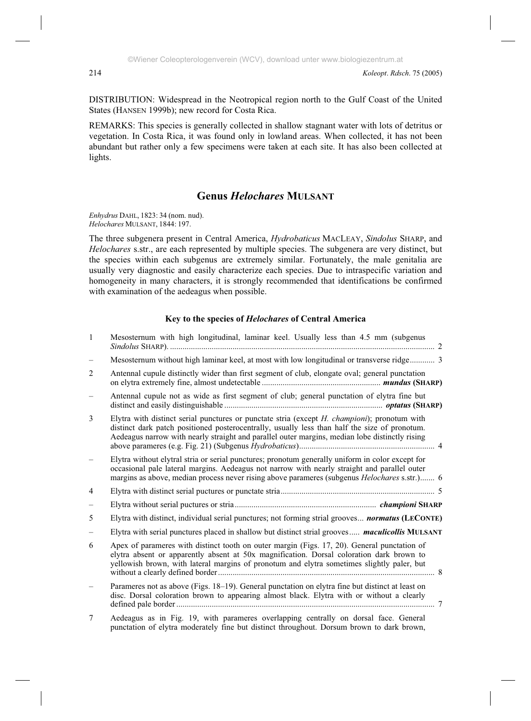DISTRIBUTION: Widespread in the Neotropical region north to the Gulf Coast of the United States (HANSEN 1999b); new record for Costa Rica.

REMARKS: This species is generally collected in shallow stagnant water with lots of detritus or vegetation. In Costa Rica, it was found only in lowland areas. When collected, it has not been abundant but rather only a few specimens were taken at each site. It has also been collected at lights.

# **Genus** *Helochares* **MULSANT**

*Enhydrus* DAHL, 1823: 34 (nom. nud). *Helochares* MULSANT, 1844: 197.

The three subgenera present in Central America, *Hydrobaticus* MACLEAY, *Sindolus* SHARP, and *Helochares* s.str., are each represented by multiple species. The subgenera are very distinct, but the species within each subgenus are extremely similar. Fortunately, the male genitalia are usually very diagnostic and easily characterize each species. Due to intraspecific variation and homogeneity in many characters, it is strongly recommended that identifications be confirmed with examination of the aedeagus when possible.

# **Key to the species of** *Helochares* **of Central America**

| $\overline{1}$ | Mesosternum with high longitudinal, laminar keel. Usually less than 4.5 mm (subgenus                                                                                                                                                                                                                       |
|----------------|------------------------------------------------------------------------------------------------------------------------------------------------------------------------------------------------------------------------------------------------------------------------------------------------------------|
|                | Mesosternum without high laminar keel, at most with low longitudinal or transverse ridge 3                                                                                                                                                                                                                 |
| 2              | Antennal cupule distinctly wider than first segment of club, elongate oval; general punctation                                                                                                                                                                                                             |
|                | Antennal cupule not as wide as first segment of club; general punctation of elytra fine but                                                                                                                                                                                                                |
| 3              | Elytra with distinct serial punctures or punctate stria (except $H$ . <i>championi</i> ); pronotum with<br>distinct dark patch positioned posterocentrally, usually less than half the size of pronotum.<br>Aedeagus narrow with nearly straight and parallel outer margins, median lobe distinctly rising |
|                | Elytra without elytral stria or serial punctures; pronotum generally uniform in color except for<br>occasional pale lateral margins. Aedeagus not narrow with nearly straight and parallel outer<br>margins as above, median process never rising above parameres (subgenus Helochares s.str.) 6           |
| 4              |                                                                                                                                                                                                                                                                                                            |
|                |                                                                                                                                                                                                                                                                                                            |
| 5              | Elytra with distinct, individual serial punctures; not forming strial grooves <b>normatus (LECONTE)</b>                                                                                                                                                                                                    |
|                | Elytra with serial punctures placed in shallow but distinct strial grooves <i>maculicollis</i> MULSANT                                                                                                                                                                                                     |
| 6              | Apex of parameres with distinct tooth on outer margin (Figs. 17, 20). General punctation of<br>elytra absent or apparently absent at 50x magnification. Dorsal coloration dark brown to<br>yellowish brown, with lateral margins of pronotum and elytra sometimes slightly paler, but                      |
|                | Parameres not as above (Figs. 18-19). General punctation on elytra fine but distinct at least on<br>disc. Dorsal coloration brown to appearing almost black. Elytra with or without a clearly                                                                                                              |
| 7              | Aedeagus as in Fig. 19, with parameres overlapping centrally on dorsal face. General<br>punctation of elytra moderately fine but distinct throughout. Dorsum brown to dark brown,                                                                                                                          |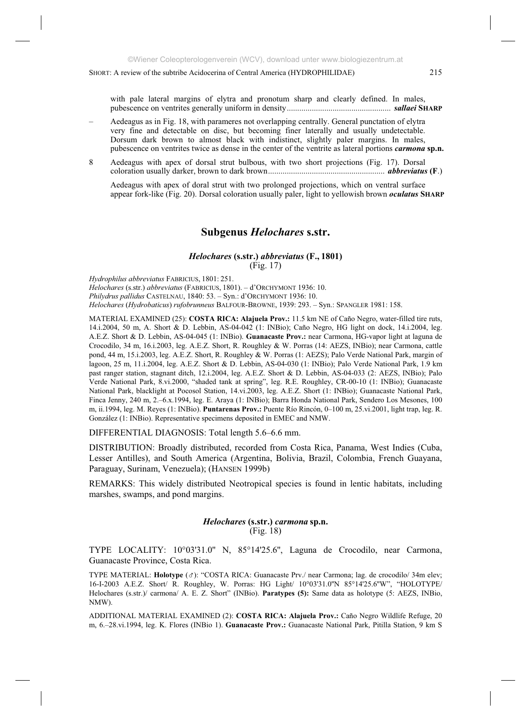with pale lateral margins of elytra and pronotum sharp and clearly defined. In males, pubescence on ventrites generally uniform in density.................................................. *sallaei* **SHARP**

- Aedeagus as in Fig. 18, with parameres not overlapping centrally. General punctation of elytra very fine and detectable on disc, but becoming finer laterally and usually undetectable. Dorsum dark brown to almost black with indistinct, slightly paler margins. In males, pubescence on ventrites twice as dense in the center of the ventrite as lateral portions *carmona* **sp.n.**
- 8 Aedeagus with apex of dorsal strut bulbous, with two short projections (Fig. 17). Dorsal coloration usually darker, brown to dark brown........................................................ *abbreviatus* **(F**.)

 Aedeagus with apex of doral strut with two prolonged projections, which on ventral surface appear fork-like (Fig. 20). Dorsal coloration usually paler, light to yellowish brown *oculatus* **SHARP**

# **Subgenus** *Helochares* **s.str.**

#### *Helochares* **(s.str.)** *abbreviatus* **(F., 1801)** (Fig. 17)

*Hydrophilus abbreviatus* FABRICIUS, 1801: 251. *Helochares* (s.str.) *abbreviatus* (FABRICIUS, 1801). – d'ORCHYMONT 1936: 10. *Philydrus pallidus* CASTELNAU, 1840: 53. – Syn.: d'ORCHYMONT 1936: 10. *Helochares* (*Hydrobaticus*) *rufobrunneus* BALFOUR-BROWNE, 1939: 293. – Syn.: SPANGLER 1981: 158.

MATERIAL EXAMINED (25): **COSTA RICA: Alajuela Prov.:** 11.5 km NE of Caño Negro, water-filled tire ruts, 14.i.2004, 50 m, A. Short & D. Lebbin, AS-04-042 (1: INBio); Caño Negro, HG light on dock, 14.i.2004, leg. A.E.Z. Short & D. Lebbin, AS-04-045 (1: INBio). **Guanacaste Prov.:** near Carmona, HG-vapor light at laguna de Crocodilo, 34 m, 16.i.2003, leg. A.E.Z. Short, R. Roughley & W. Porras (14: AEZS, INBio); near Carmona, cattle pond, 44 m, 15.i.2003, leg. A.E.Z. Short, R. Roughley & W. Porras (1: AEZS); Palo Verde National Park, margin of lagoon, 25 m, 11.i.2004, leg. A.E.Z. Short & D. Lebbin, AS-04-030 (1: INBio); Palo Verde National Park, 1.9 km past ranger station, stagnant ditch, 12.i.2004, leg. A.E.Z. Short & D. Lebbin, AS-04-033 (2: AEZS, INBio); Palo Verde National Park, 8.vi.2000, "shaded tank at spring", leg. R.E. Roughley, CR-00-10 (1: INBio); Guanacaste National Park, blacklight at Pocosol Station, 14.vi.2003, leg. A.E.Z. Short (1: INBio); Guanacaste National Park, Finca Jenny, 240 m, 2.–6.x.1994, leg. E. Araya (1: INBio); Barra Honda National Park, Sendero Los Mesones, 100 m, ii.1994, leg. M. Reyes (1: INBio). **Puntarenas Prov.:** Puente Río Rincón, 0–100 m, 25.vi.2001, light trap, leg. R. González (1: INBio). Representative specimens deposited in EMEC and NMW.

DIFFERENTIAL DIAGNOSIS: Total length 5.6–6.6 mm.

DISTRIBUTION: Broadly distributed, recorded from Costa Rica, Panama, West Indies (Cuba, Lesser Antilles), and South America (Argentina, Bolivia, Brazil, Colombia, French Guayana, Paraguay, Surinam, Venezuela); (HANSEN 1999b)

REMARKS: This widely distributed Neotropical species is found in lentic habitats, including marshes, swamps, and pond margins.

## *Helochares* **(s.str.)** *carmona* **sp.n.** (Fig. 18)

TYPE LOCALITY: 10°03'31.0'' N, 85°14'25.6'', Laguna de Crocodilo, near Carmona, Guanacaste Province, Costa Rica.

TYPE MATERIAL: **Holotype** ( $\sigma$ ): "COSTA RICA: Guanacaste Prv./ near Carmona; lag. de crocodilo/ 34m elev; 16-I-2003 A.E.Z. Short/ R. Roughley, W. Porras: HG Light/ 10°03'31.0''N 85°14'25.6''W", "HOLOTYPE/ Helochares (s.str.)/ carmona/ A. E. Z. Short" (INBio). **Paratypes (5):** Same data as holotype (5: AEZS, INBio, NMW).

ADDITIONAL MATERIAL EXAMINED (2): **COSTA RICA: Alajuela Prov.:** Caño Negro Wildlife Refuge, 20 m, 6.–28.vi.1994, leg. K. Flores (INBio 1). **Guanacaste Prov.:** Guanacaste National Park, Pitilla Station, 9 km S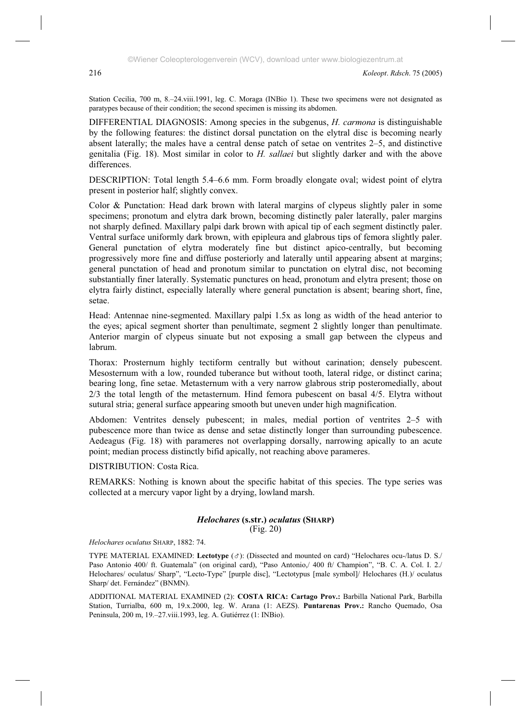Station Cecilia, 700 m, 8.–24.viii.1991, leg. C. Moraga (INBio 1). These two specimens were not designated as paratypes because of their condition; the second specimen is missing its abdomen.

DIFFERENTIAL DIAGNOSIS: Among species in the subgenus, *H. carmona* is distinguishable by the following features: the distinct dorsal punctation on the elytral disc is becoming nearly absent laterally; the males have a central dense patch of setae on ventrites 2–5, and distinctive genitalia (Fig. 18). Most similar in color to *H. sallaei* but slightly darker and with the above differences.

DESCRIPTION: Total length 5.4–6.6 mm. Form broadly elongate oval; widest point of elytra present in posterior half; slightly convex.

Color & Punctation: Head dark brown with lateral margins of clypeus slightly paler in some specimens; pronotum and elytra dark brown, becoming distinctly paler laterally, paler margins not sharply defined. Maxillary palpi dark brown with apical tip of each segment distinctly paler. Ventral surface uniformly dark brown, with epipleura and glabrous tips of femora slightly paler. General punctation of elytra moderately fine but distinct apico-centrally, but becoming progressively more fine and diffuse posteriorly and laterally until appearing absent at margins; general punctation of head and pronotum similar to punctation on elytral disc, not becoming substantially finer laterally. Systematic punctures on head, pronotum and elytra present; those on elytra fairly distinct, especially laterally where general punctation is absent; bearing short, fine, setae.

Head: Antennae nine-segmented. Maxillary palpi 1.5x as long as width of the head anterior to the eyes; apical segment shorter than penultimate, segment 2 slightly longer than penultimate. Anterior margin of clypeus sinuate but not exposing a small gap between the clypeus and labrum.

Thorax: Prosternum highly tectiform centrally but without carination; densely pubescent. Mesosternum with a low, rounded tuberance but without tooth, lateral ridge, or distinct carina; bearing long, fine setae. Metasternum with a very narrow glabrous strip posteromedially, about 2/3 the total length of the metasternum. Hind femora pubescent on basal 4/5. Elytra without sutural stria; general surface appearing smooth but uneven under high magnification.

Abdomen: Ventrites densely pubescent; in males, medial portion of ventrites 2–5 with pubescence more than twice as dense and setae distinctly longer than surrounding pubescence. Aedeagus (Fig. 18) with parameres not overlapping dorsally, narrowing apically to an acute point; median process distinctly bifid apically, not reaching above parameres.

DISTRIBUTION: Costa Rica.

REMARKS: Nothing is known about the specific habitat of this species. The type series was collected at a mercury vapor light by a drying, lowland marsh.

#### *Helochares* **(s.str.)** *oculatus* **(SHARP)** (Fig. 20)

*Helochares oculatus* SHARP, 1882: 74.

TYPE MATERIAL EXAMINED: Lectotype ( $\sigma$ ): (Dissected and mounted on card) "Helochares ocu-/latus D. S./ Paso Antonio 400/ ft. Guatemala" (on original card), "Paso Antonio,/ 400 ft/ Champion", "B. C. A. Col. I. 2./ Helochares/ oculatus/ Sharp", "Lecto-Type" [purple disc], "Lectotypus [male symbol]/ Helochares (H.)/ oculatus Sharp/ det. Fernández" (BNMN).

ADDITIONAL MATERIAL EXAMINED (2): **COSTA RICA: Cartago Prov.:** Barbilla National Park, Barbilla Station, Turrialba, 600 m, 19.x.2000, leg. W. Arana (1: AEZS). **Puntarenas Prov.:** Rancho Quemado, Osa Peninsula, 200 m, 19.–27.viii.1993, leg. A. Gutiérrez (1: INBio).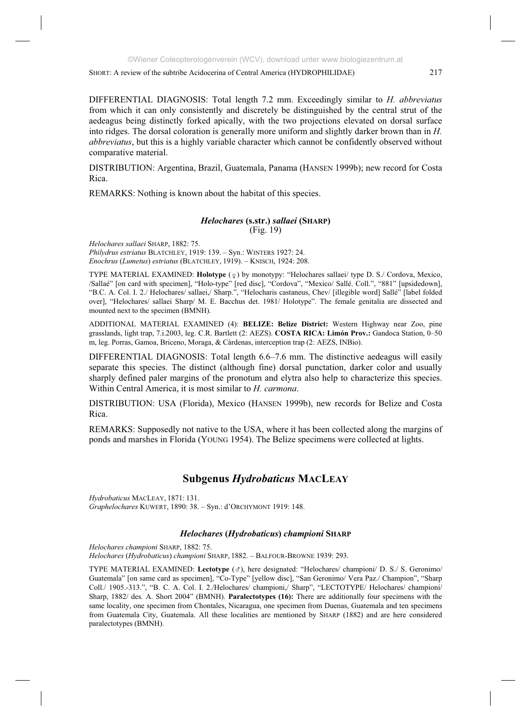DIFFERENTIAL DIAGNOSIS: Total length 7.2 mm. Exceedingly similar to *H. abbreviatus* from which it can only consistently and discretely be distinguished by the central strut of the aedeagus being distinctly forked apically, with the two projections elevated on dorsal surface into ridges. The dorsal coloration is generally more uniform and slightly darker brown than in *H. abbreviatus*, but this is a highly variable character which cannot be confidently observed without comparative material.

DISTRIBUTION: Argentina, Brazil, Guatemala, Panama (HANSEN 1999b); new record for Costa Rica.

REMARKS: Nothing is known about the habitat of this species.

#### *Helochares* **(s.str.)** *sallaei* **(SHARP)** (Fig. 19)

*Helochares sallaei* SHARP, 1882: 75.

*Philydrus estriatus* BLATCHLEY, 1919: 139. – Syn.: WINTERS 1927: 24. *Enochrus* (*Lumetus*) *estriatus* (BLATCHLEY, 1919). – KNISCH, 1924: 208.

TYPE MATERIAL EXAMINED: **Holotype** ( $\circ$ ) by monotypy: "Helochares sallaei/ type D. S./ Cordova, Mexico, /Sallaé" [on card with specimen], "Holo-type" [red disc], "Cordova", "Mexico/ Sallé. Coll.", "881" [upsidedown], "B.C. A. Col. I. 2./ Helochares/ sallaei,/ Sharp.", "Helocharis castaneus, Chev/ [illegible word] Sallé" [label folded over], "Helochares/ sallaei Sharp/ M. E. Bacchus det. 1981/ Holotype". The female genitalia are dissected and mounted next to the specimen (BMNH).

ADDITIONAL MATERIAL EXAMINED (4): **BELIZE: Belize District:** Western Highway near Zoo, pine grasslands, light trap, 7.i.2003, leg. C.R. Bartlett (2: AEZS). **COSTA RICA: Limón Prov.:** Gandoca Station, 0–50 m, leg. Porras, Gamoa, Briceno, Moraga, & Cárdenas, interception trap (2: AEZS, INBio).

DIFFERENTIAL DIAGNOSIS: Total length 6.6–7.6 mm. The distinctive aedeagus will easily separate this species. The distinct (although fine) dorsal punctation, darker color and usually sharply defined paler margins of the pronotum and elytra also help to characterize this species. Within Central America, it is most similar to *H. carmona*.

DISTRIBUTION: USA (Florida), Mexico (HANSEN 1999b), new records for Belize and Costa Rica.

REMARKS: Supposedly not native to the USA, where it has been collected along the margins of ponds and marshes in Florida (YOUNG 1954). The Belize specimens were collected at lights.

# **Subgenus** *Hydrobaticus* **MACLEAY**

*Hydrobaticus* MACLEAY, 1871: 131. *Graphelochares* KUWERT, 1890: 38. – Syn.: d'ORCHYMONT 1919: 148.

# *Helochares* **(***Hydrobaticus***)** *championi* **SHARP**

*Helochares championi* SHARP, 1882: 75. *Helochares* (*Hydrobaticus*) *championi* SHARP, 1882. – BALFOUR-BROWNE 1939: 293.

TYPE MATERIAL EXAMINED: Lectotype ( $\sigma$ ), here designated: "Helochares/ championi/ D. S./ S. Geronimo/ Guatemala" [on same card as specimen], "Co-Type" [yellow disc], "San Geronimo/ Vera Paz./ Champion", "Sharp Coll./ 1905.-313.", "B. C. A. Col. I. 2./Helochares/ championi,/ Sharp", "LECTOTYPE/ Helochares/ championi/ Sharp, 1882/ des. A. Short 2004" (BMNH). **Paralectotypes (16):** There are additionally four specimens with the same locality, one specimen from Chontales, Nicaragua, one specimen from Duenas, Guatemala and ten specimens from Guatemala City, Guatemala. All these localities are mentioned by SHARP (1882) and are here considered paralectotypes (BMNH).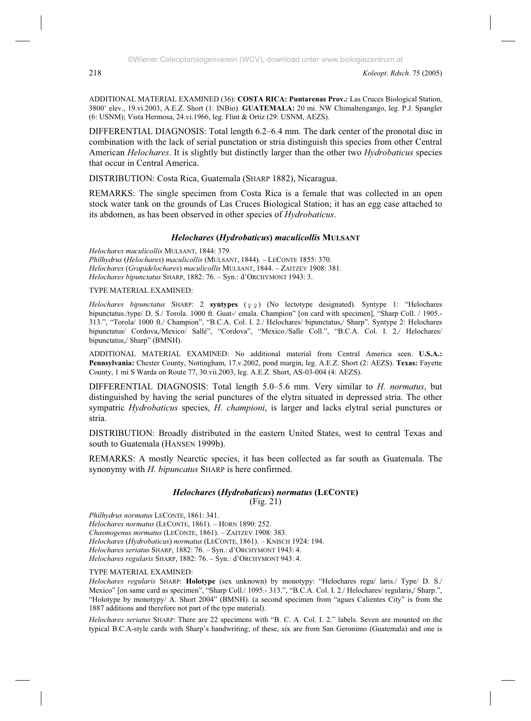ADDITIONAL MATERIAL EXAMINED (36): **COSTA RICA: Puntarenas Prov.:** Las Cruces Biological Station, 3800' elev., 19.vi.2003, A.E.Z. Short (1: INBio). **GUATEMALA:** 20 mi. NW Chimaltengango, leg. P.J. Spangler (6: USNM); Vista Hermosa, 24.vi.1966, leg. Flint & Ortiz (29: USNM, AEZS).

DIFFERENTIAL DIAGNOSIS: Total length 6.2–6.4 mm. The dark center of the pronotal disc in combination with the lack of serial punctation or stria distinguish this species from other Central American *Helochares*. It is slightly but distinctly larger than the other two *Hydrobaticus* species that occur in Central America.

DISTRIBUTION: Costa Rica, Guatemala (SHARP 1882), Nicaragua.

REMARKS: The single specimen from Costa Rica is a female that was collected in an open stock water tank on the grounds of Las Cruces Biological Station; it has an egg case attached to its abdomen, as has been observed in other species of *Hydrobaticus*.

## *Helochares* **(***Hydrobaticus***)** *maculicollis* **MULSANT**

*Helochares maculicollis* MULSANT, 1844: 379. *Philhydrus* (*Helochares*) *maculicollis* (MULSANT, 1844). – LECONTE 1855: 370. *Helochares* (*Grapidelochares*) *maculicollis* MULSANT, 1844. – ZAITZEV 1908: 381. *Helochares bipunctatus* SHARP, 1882: 76. – Syn.: d'ORCHYMONT 1943: 3.

#### TYPE MATERIAL EXAMINED:

*Helochares bipunctatus* SHARP: 2 **syntypes** ( $\circ$  $\circ$ ) (No lectotype designated). Syntype 1: "Helochares bipunctatus./type/ D. S./ Torola. 1000 ft. Guat-/ emala. Champion" [on card with specimen], "Sharp Coll. / 1905.- 313.", "Torola/ 1000 ft./ Champion", "B.C.A. Col. I. 2./ Helochares/ bipunctatus,/ Sharp". Syntype 2: Helochares bipunctatus/ Cordova,/Mexico/ Sallé", "Cordova", "Mexico./Salle Coll.", "B.C.A. Col. I. 2./ Helochares/ bipunctatus,/ Sharp" (BMNH).

ADDITIONAL MATERIAL EXAMINED: No additional material from Central America seen. **U.S.A.: Pennsylvania:** Chester County, Nottingham, 17.v.2002, pond margin, leg. A.E.Z. Short (2: AEZS). **Texas:** Fayette County, 1 mi S Warda on Route 77, 30.vii.2003, leg. A.E.Z. Short, AS-03-004 (4: AEZS).

DIFFERENTIAL DIAGNOSIS: Total length 5.0–5.6 mm. Very similar to *H. normatus*, but distinguished by having the serial punctures of the elytra situated in depressed stria. The other sympatric *Hydrobaticus* species, *H. championi*, is larger and lacks elytral serial punctures or stria.

DISTRIBUTION: Broadly distributed in the eastern United States, west to central Texas and south to Guatemala (HANSEN 1999b).

REMARKS: A mostly Nearctic species, it has been collected as far south as Guatemala. The synonymy with *H. bipuncatus* SHARP is here confirmed.

# *Helochares* **(***Hydrobaticus***)** *normatus* **(LECONTE)**

(Fig. 21)

*Philhydrus normatus* LECONTE, 1861: 341.

*Helochares normatus* (LECONTE, 1861). – HORN 1890: 252.

*Chasmogenus normatus* (LECONTE, 1861). – ZAITZEV 1908: 383.

*Helochares* (*Hydrobaticus*) *normatus* (LECONTE, 1861). – KNISCH 1924: 194.

*Helochares seriatus* SHARP, 1882: 76. – Syn.: d'ORCHYMONT 1943: 4.

*Helochares regularis* SHARP, 1882: 76. – Syn.: d'ORCHYMONT 943: 4.

#### TYPE MATERIAL EXAMINED:

*Helochares regularis* SHARP: **Holotype** (sex unknown) by monotypy: "Helochares regu/ laris./ Type/ D. S./ Mexico" [on same card as specimen", "Sharp Coll./ 1095.- 313.", "B.C.A. Col. I. 2./ Helochares/ regularis,/ Sharp.", "Holotype by monotypy/ A. Short 2004" (BMNH). (a second specimen from "agues Calientes City" is from the 1887 additions and therefore not part of the type material).

*Helochares seriatus* SHARP: There are 22 specimens with "B. C. A. Col. I. 2." labels. Seven are mounted on the typical B.C.A-style cards with Sharp's handwriting; of these, six are from San Geronimo (Guatemala) and one is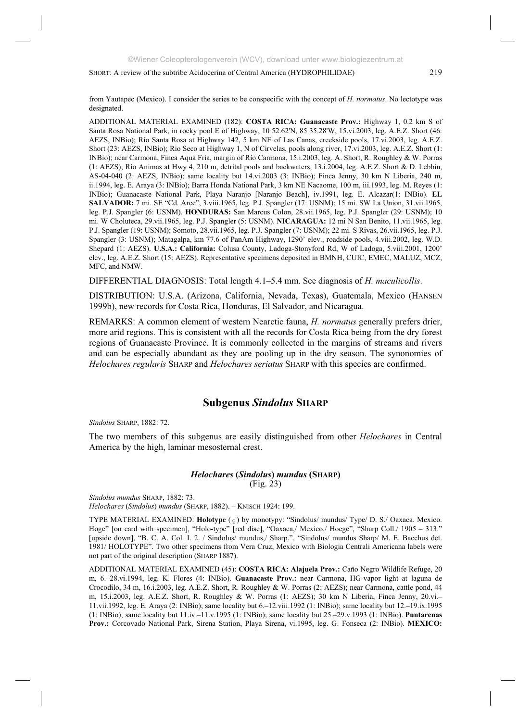from Yautapec (Mexico). I consider the series to be conspecific with the concept of *H. normatus*. No lectotype was designated.

ADDITIONAL MATERIAL EXAMINED (182): **COSTA RICA: Guanacaste Prov.:** Highway 1, 0.2 km S of Santa Rosa National Park, in rocky pool E of Highway, 10 52.62'N, 85 35.28'W, 15.vi.2003, leg. A.E.Z. Short (46: AEZS, INBio); Río Santa Rosa at Highway 142, 5 km NE of Las Canas, creekside pools, 17.vi.2003, leg. A.E.Z. Short (23: AEZS, INBio); Rio Seco at Highway 1, N of Cirvelas, pools along river, 17.vi.2003, leg. A.E.Z. Short (1: INBio); near Carmona, Finca Aqua Fria, margin of Río Carmona, 15.i.2003, leg. A. Short, R. Roughley & W. Porras (1: AEZS); Río Animas at Hwy 4, 210 m, detrital pools and backwaters, 13.i.2004, leg. A.E.Z. Short & D. Lebbin, AS-04-040 (2: AEZS, INBio); same locality but 14.vi.2003 (3: INBio); Finca Jenny, 30 km N Liberia, 240 m, ii.1994, leg. E. Araya (3: INBio); Barra Honda National Park, 3 km NE Nacaome, 100 m, iii.1993, leg. M. Reyes (1: INBio); Guanacaste National Park, Playa Naranjo [Naranjo Beach], iv.1991, leg. E. Alcazar(1: INBio). **EL SALVADOR:** 7 mi. SE "Cd. Arce", 3.viii.1965, leg. P.J. Spangler (17: USNM); 15 mi. SW La Union, 31.vii.1965, leg. P.J. Spangler (6: USNM). **HONDURAS:** San Marcus Colon, 28.vii.1965, leg. P.J. Spangler (29: USNM); 10 mi. W Choluteca, 29.vii.1965, leg. P.J. Spangler (5: USNM). **NICARAGUA:** 12 mi N San Benito, 11.vii.1965, leg. P.J. Spangler (19: USNM); Somoto, 28.vii.1965, leg. P.J. Spangler (7: USNM); 22 mi. S Rivas, 26.vii.1965, leg. P.J. Spangler (3: USNM); Matagalpa, km 77.6 of PanAm Highway, 1290' elev., roadside pools, 4.viii.2002, leg. W.D. Shepard (1: AEZS). **U.S.A.: California:** Colusa County, Ladoga-Stonyford Rd, W of Ladoga, 5.viii.2001, 1200' elev., leg. A.E.Z. Short (15: AEZS). Representative specimens deposited in BMNH, CUIC, EMEC, MALUZ, MCZ, MFC, and NMW.

DIFFERENTIAL DIAGNOSIS: Total length 4.1–5.4 mm. See diagnosis of *H. maculicollis*.

DISTRIBUTION: U.S.A. (Arizona, California, Nevada, Texas), Guatemala, Mexico (HANSEN 1999b), new records for Costa Rica, Honduras, El Salvador, and Nicaragua.

REMARKS: A common element of western Nearctic fauna, *H. normatus* generally prefers drier, more arid regions. This is consistent with all the records for Costa Rica being from the dry forest regions of Guanacaste Province. It is commonly collected in the margins of streams and rivers and can be especially abundant as they are pooling up in the dry season. The synonomies of *Helochares regularis* SHARP and *Helochares seriatus* SHARP with this species are confirmed.

# **Subgenus** *Sindolus* **SHARP**

*Sindolus* SHARP, 1882: 72.

The two members of this subgenus are easily distinguished from other *Helochares* in Central America by the high, laminar mesosternal crest.

#### *Helochares* **(***Sindolus***)** *mundus* **(SHARP)** (Fig. 23)

*Sindolus mundus* SHARP, 1882: 73.

*Helochares* (*Sindolus*) *mundus* (SHARP, 1882). – KNISCH 1924: 199.

TYPE MATERIAL EXAMINED: **Holotype** ( $\circ$ ) by monotypy: "Sindolus/ mundus/ Type/ D. S./ Oaxaca. Mexico. Hoge" [on card with specimen], "Holo-type" [red disc], "Oaxaca,/ Mexico./ Hoege", "Sharp Coll./ 1905 – 313." [upside down], "B. C. A. Col. I. 2. / Sindolus/ mundus,/ Sharp.", "Sindolus/ mundus Sharp/ M. E. Bacchus det. 1981/ HOLOTYPE". Two other specimens from Vera Cruz, Mexico with Biologia Centrali Americana labels were not part of the original description (SHARP 1887).

ADDITIONAL MATERIAL EXAMINED (45): **COSTA RICA: Alajuela Prov.:** Caño Negro Wildlife Refuge, 20 m, 6.–28.vi.1994, leg. K. Flores (4: INBio). **Guanacaste Prov.:** near Carmona, HG-vapor light at laguna de Crocodilo, 34 m, 16.i.2003, leg. A.E.Z. Short, R. Roughley & W. Porras (2: AEZS); near Carmona, cattle pond, 44 m, 15.i.2003, leg. A.E.Z. Short, R. Roughley & W. Porras (1: AEZS); 30 km N Liberia, Finca Jenny, 20.vi.– 11.vii.1992, leg. E. Araya (2: INBio); same locality but 6.–12.viii.1992 (1: INBio); same locality but 12.–19.ix.1995 (1: INBio); same locality but 11.iv.–11.v.1995 (1: INBio); same locality but 25.–29.v.1993 (1: INBio). **Puntarenas Prov.:** Corcovado National Park, Sirena Station, Playa Sirena, vi.1995, leg. G. Fonseca (2: INBio). **MEXICO:**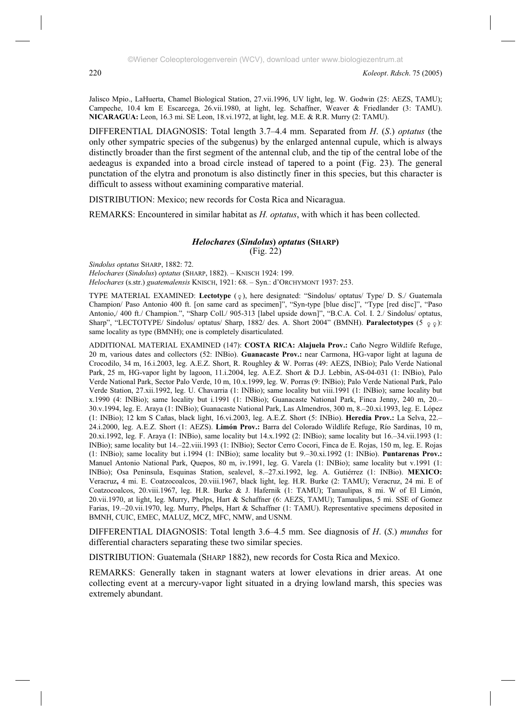Jalisco Mpio., LaHuerta, Chamel Biological Station, 27.vii.1996, UV light, leg. W. Godwin (25: AEZS, TAMU); Campeche, 10.4 km E Escarcega, 26.vii.1980, at light, leg. Schaffner, Weaver & Friedlander (3: TAMU). **NICARAGUA:** Leon, 16.3 mi. SE Leon, 18.vi.1972, at light, leg. M.E. & R.R. Murry (2: TAMU).

DIFFERENTIAL DIAGNOSIS: Total length 3.7–4.4 mm. Separated from *H*. (*S*.) *optatus* (the only other sympatric species of the subgenus) by the enlarged antennal cupule, which is always distinctly broader than the first segment of the antennal club, and the tip of the central lobe of the aedeagus is expanded into a broad circle instead of tapered to a point (Fig. 23). The general punctation of the elytra and pronotum is also distinctly finer in this species, but this character is difficult to assess without examining comparative material.

DISTRIBUTION: Mexico; new records for Costa Rica and Nicaragua.

REMARKS: Encountered in similar habitat as *H. optatus*, with which it has been collected.

#### *Helochares* **(***Sindolus***)** *optatus* **(SHARP)** (Fig. 22)

*Sindolus optatus* SHARP, 1882: 72. *Helochares* (*Sindolus*) *optatus* (SHARP, 1882). – KNISCH 1924: 199. *Helochares* (s.str.) *guatemalensis* KNISCH, 1921: 68. – Syn.: d'ORCHYMONT 1937: 253.

TYPE MATERIAL EXAMINED: Lectotype (2), here designated: "Sindolus/ optatus/ Type/ D. S./ Guatemala Champion/ Paso Antonio 400 ft. [on same card as specimen]", "Syn-type [blue disc]", "Type [red disc]", "Paso Antonio,/ 400 ft./ Champion.", "Sharp Coll./ 905-313 [label upside down]", "B.C.A. Col. I. 2./ Sindolus/ optatus, Sharp", "LECTOTYPE/ Sindolus/ optatus/ Sharp, 1882/ des. A. Short 2004" (BMNH). **Paralectotypes** (5  $\Omega$ : same locality as type (BMNH); one is completely disarticulated.

ADDITIONAL MATERIAL EXAMINED (147): **COSTA RICA: Alajuela Prov.:** Caño Negro Wildlife Refuge, 20 m, various dates and collectors (52: INBio). **Guanacaste Prov.:** near Carmona, HG-vapor light at laguna de Crocodilo, 34 m, 16.i.2003, leg. A.E.Z. Short, R. Roughley & W. Porras (49: AEZS, INBio); Palo Verde National Park, 25 m, HG-vapor light by lagoon, 11.i.2004, leg. A.E.Z. Short & D.J. Lebbin, AS-04-031 (1: INBio), Palo Verde National Park, Sector Palo Verde, 10 m, 10.x.1999, leg. W. Porras (9: INBio); Palo Verde National Park, Palo Verde Station, 27.xii.1992, leg. U. Chavarria (1: INBio); same locality but viii.1991 (1: INBio); same locality but x.1990 (4: INBio); same locality but i.1991 (1: INBio); Guanacaste National Park, Finca Jenny, 240 m, 20.– 30.v.1994, leg. E. Araya (1: INBio); Guanacaste National Park, Las Almendros, 300 m, 8.–20.xi.1993, leg. E. López (1: INBio); 12 km S Cañas, black light, 16.vi.2003, leg. A.E.Z. Short (5: INBio). **Heredia Prov.:** La Selva, 22.– 24.i.2000, leg. A.E.Z. Short (1: AEZS). **Limón Prov.:** Barra del Colorado Wildlife Refuge, Río Sardinas, 10 m, 20.xi.1992, leg. F. Araya (1: INBio), same locality but 14.x.1992 (2: INBio); same locality but 16.–34.vii.1993 (1: INBio); same locality but 14.–22.viii.1993 (1: INBio); Sector Cerro Cocori, Finca de E. Rojas, 150 m, leg. E. Rojas (1: INBio); same locality but i.1994 (1: INBio); same locality but 9.–30.xi.1992 (1: INBio). **Puntarenas Prov.:** Manuel Antonio National Park, Quepos, 80 m, iv.1991, leg. G. Varela (1: INBio); same locality but v.1991 (1: INBio); Osa Peninsula, Esquinas Station, sealevel, 8.–27.xi.1992, leg. A. Gutiérrez (1: INBio). **MEXICO:**  Veracruz**,** 4 mi. E. Coatzocoalcos, 20.viii.1967, black light, leg. H.R. Burke (2: TAMU); Veracruz, 24 mi. E of Coatzocoalcos, 20.viii.1967, leg. H.R. Burke & J. Hafernik (1: TAMU); Tamaulipas, 8 mi. W of El Limón, 20.vii.1970, at light, leg. Murry, Phelps, Hart & Schaffner (6: AEZS, TAMU); Tamaulipas, 5 mi. SSE of Gomez Farias, 19.–20.vii.1970, leg. Murry, Phelps, Hart & Schaffner (1: TAMU). Representative specimens deposited in BMNH, CUIC, EMEC, MALUZ, MCZ, MFC, NMW, and USNM.

DIFFERENTIAL DIAGNOSIS: Total length 3.6–4.5 mm. See diagnosis of *H*. (*S*.) *mundus* for differential characters separating these two similar species.

DISTRIBUTION: Guatemala (SHARP 1882), new records for Costa Rica and Mexico.

REMARKS: Generally taken in stagnant waters at lower elevations in drier areas. At one collecting event at a mercury-vapor light situated in a drying lowland marsh, this species was extremely abundant.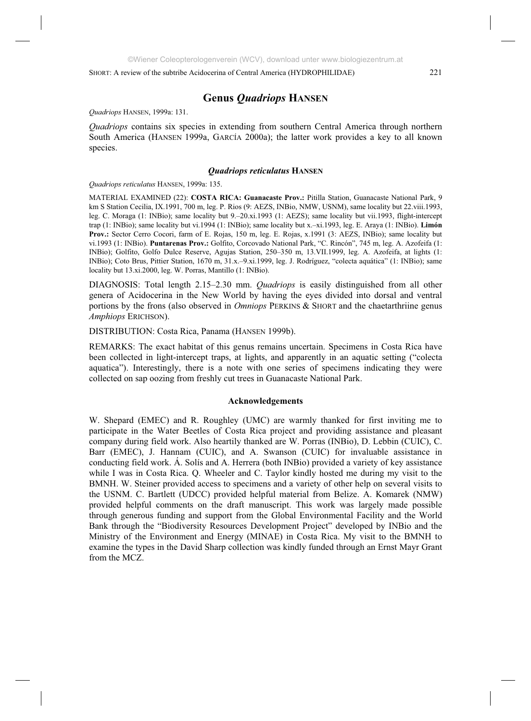# **Genus** *Quadriops* **HANSEN**

*Quadriops* HANSEN, 1999a: 131.

*Quadriops* contains six species in extending from southern Central America through northern South America (HANSEN 1999a, GARCÍA 2000a); the latter work provides a key to all known species.

#### *Quadriops reticulatus* **HANSEN**

*Quadriops reticulatus* HANSEN, 1999a: 135.

MATERIAL EXAMINED (22): **COSTA RICA: Guanacaste Prov.:** Pitilla Station, Guanacaste National Park, 9 km S Station Cecilia, IX.1991, 700 m, leg. P. Rios (9: AEZS, INBio, NMW, USNM), same locality but 22.viii.1993, leg. C. Moraga (1: INBio); same locality but 9.–20.xi.1993 (1: AEZS); same locality but vii.1993, flight-intercept trap (1: INBio); same locality but vi.1994 (1: INBio); same locality but x.–xi.1993, leg. E. Araya (1: INBio). **Limón Prov.:** Sector Cerro Cocori, farm of E. Rojas, 150 m, leg. E. Rojas, x.1991 (3: AEZS, INBio); same locality but vi.1993 (1: INBio). **Puntarenas Prov.:** Golfito, Corcovado National Park, "C. Rincón", 745 m, leg. A. Azofeifa (1: INBio); Golfito, Golfo Dulce Reserve, Agujas Station, 250–350 m, 13.VII.1999, leg. A. Azofeifa, at lights (1: INBio); Coto Brus, Pittier Station, 1670 m, 31.x.–9.xi.1999, leg. J. Rodríguez, "colecta aquática" (1: INBio); same locality but 13.xi.2000, leg. W. Porras, Mantillo (1: INBio).

DIAGNOSIS: Total length 2.15–2.30 mm. *Quadriops* is easily distinguished from all other genera of Acidocerina in the New World by having the eyes divided into dorsal and ventral portions by the frons (also observed in *Omniops* PERKINS & SHORT and the chaetarthriine genus *Amphiops* ERICHSON).

DISTRIBUTION: Costa Rica, Panama (HANSEN 1999b).

REMARKS: The exact habitat of this genus remains uncertain. Specimens in Costa Rica have been collected in light-intercept traps, at lights, and apparently in an aquatic setting ("colecta aquatica"). Interestingly, there is a note with one series of specimens indicating they were collected on sap oozing from freshly cut trees in Guanacaste National Park.

#### **Acknowledgements**

W. Shepard (EMEC) and R. Roughley (UMC) are warmly thanked for first inviting me to participate in the Water Beetles of Costa Rica project and providing assistance and pleasant company during field work. Also heartily thanked are W. Porras (INBio), D. Lebbin (CUIC), C. Barr (EMEC), J. Hannam (CUIC), and A. Swanson (CUIC) for invaluable assistance in conducting field work. Á. Solís and A. Herrera (both INBio) provided a variety of key assistance while I was in Costa Rica. Q. Wheeler and C. Taylor kindly hosted me during my visit to the BMNH. W. Steiner provided access to specimens and a variety of other help on several visits to the USNM. C. Bartlett (UDCC) provided helpful material from Belize. A. Komarek (NMW) provided helpful comments on the draft manuscript. This work was largely made possible through generous funding and support from the Global Environmental Facility and the World Bank through the "Biodiversity Resources Development Project" developed by INBio and the Ministry of the Environment and Energy (MINAE) in Costa Rica. My visit to the BMNH to examine the types in the David Sharp collection was kindly funded through an Ernst Mayr Grant from the MCZ.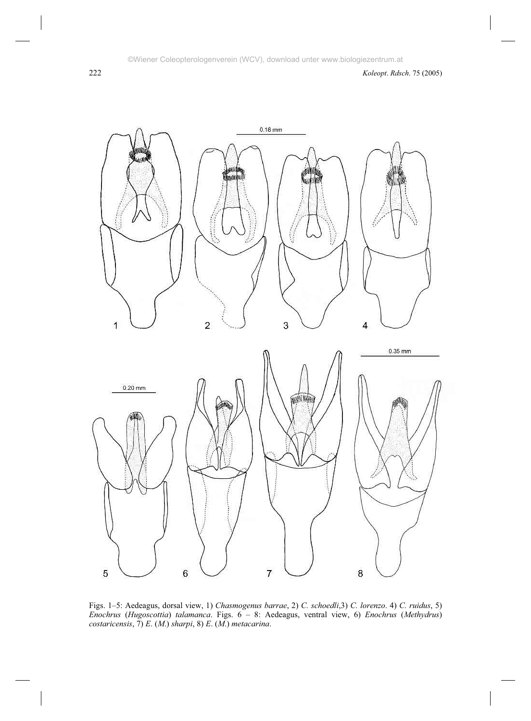

Figs. 1–5: Aedeagus, dorsal view, 1) *Chasmogenus barrae*, 2) *C. schoedli*,3) *C. lorenzo*. 4) *C. ruidus*, 5) *Enochrus* (*Hugoscottia*) *talamanca*. Figs. 6 – 8: Aedeagus, ventral view, 6) *Enochrus* (*Methydrus*) *costaricensis*, 7) *E*. (*M*.) *sharpi*, 8) *E*. (*M*.) *metacarina*.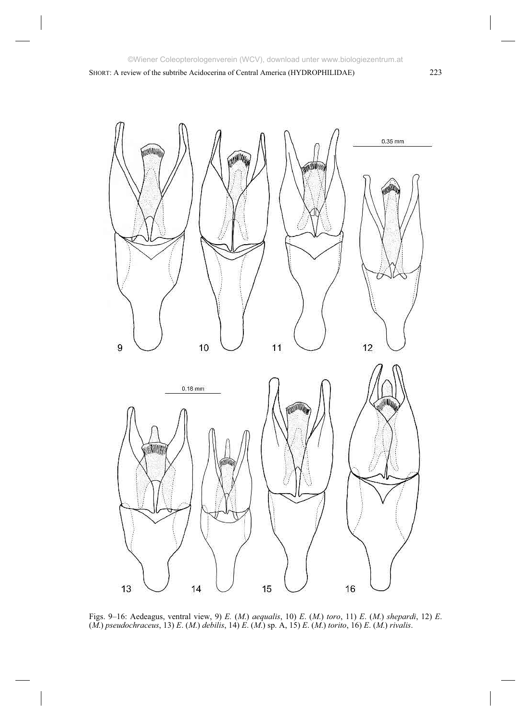SHORT: A review of the subtribe Acidocerina of Central America (HYDROPHILIDAE) 223



Figs. 9–16: Aedeagus, ventral view, 9) *E.* (*M*.) *aequalis*, 10) *E*. (*M*.) *toro*, 11) *E*. (*M*.) *shepardi*, 12) *E*. (*M*.) *pseudochraceus*, 13) *E*. (*M*.) *debilis*, 14) *E*. (*M*.) sp. A, 15) *E*. (*M*.) *torito*, 16) *E*. (*M*.) *rivalis*.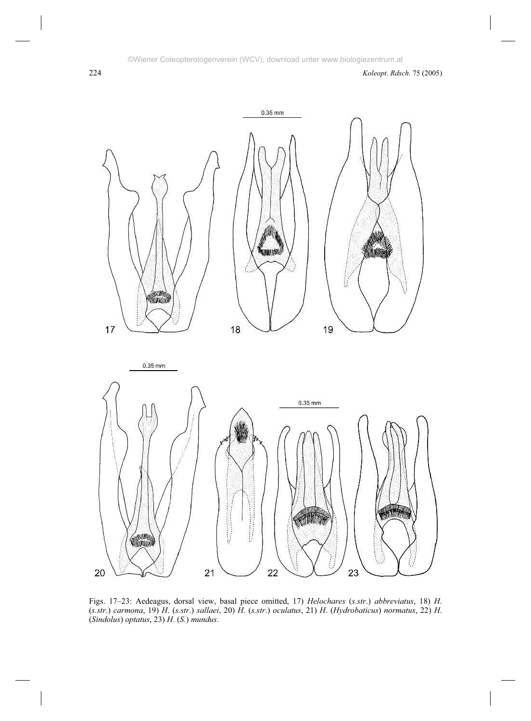

Figs. 17–23: Aedeagus, dorsal view, basal piece omitted, 17) *Helochares* (*s.str*.) *abbreviatus*, 18) *H*. (*s.str*.) *carmona*, 19) *H*. (*s.str*.) *sallaei*, 20) *H*. (*s.str*.) *oculatus*, 21) *H*. (*Hydrobaticus*) *normatus*, 22) *H*. (*Sindolus*) *optatus*, 23) *H*. (*S.*) *mundus*.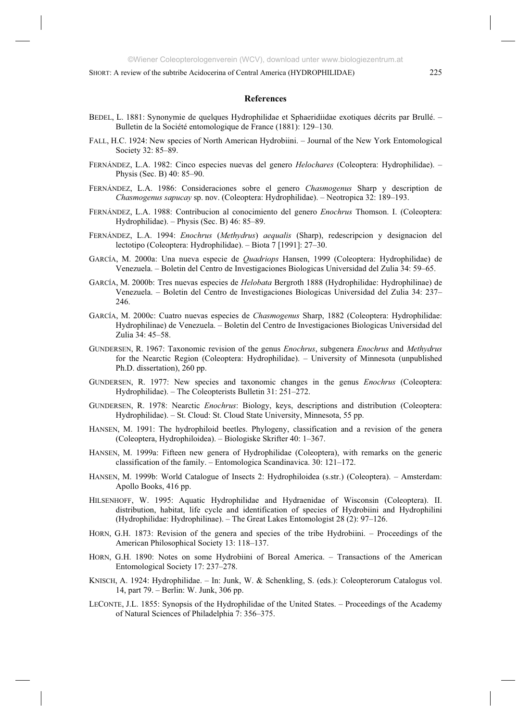#### **References**

- BEDEL, L. 1881: Synonymie de quelques Hydrophilidae et Sphaeridiidae exotiques décrits par Brullé. Bulletin de la Société entomologique de France (1881): 129–130.
- FALL, H.C. 1924: New species of North American Hydrobiini. Journal of the New York Entomological Society 32: 85–89.
- FERNÁNDEZ, L.A. 1982: Cinco especies nuevas del genero *Helochares* (Coleoptera: Hydrophilidae). Physis (Sec. B) 40: 85–90.
- FERNÁNDEZ, L.A. 1986: Consideraciones sobre el genero *Chasmogenus* Sharp y description de *Chasmogenus sapucay* sp. nov. (Coleoptera: Hydrophilidae). – Neotropica 32: 189–193.
- FERNÁNDEZ, L.A. 1988: Contribucion al conocimiento del genero *Enochrus* Thomson. I. (Coleoptera: Hydrophilidae). – Physis (Sec. B) 46: 85–89.
- FERNÁNDEZ, L.A. 1994: *Enochrus* (*Methydrus*) *aequalis* (Sharp), redescripcion y designacion del lectotipo (Coleoptera: Hydrophilidae). – Biota 7 [1991]: 27–30.
- GARCÍA, M. 2000a: Una nueva especie de *Quadriops* Hansen, 1999 (Coleoptera: Hydrophilidae) de Venezuela. – Boletin del Centro de Investigaciones Biologicas Universidad del Zulia 34: 59–65.
- GARCÍA, M. 2000b: Tres nuevas especies de *Helobata* Bergroth 1888 (Hydrophilidae: Hydrophilinae) de Venezuela. – Boletin del Centro de Investigaciones Biologicas Universidad del Zulia 34: 237– 246.
- GARCÍA, M. 2000c: Cuatro nuevas especies de *Chasmogenus* Sharp, 1882 (Coleoptera: Hydrophilidae: Hydrophilinae) de Venezuela. – Boletin del Centro de Investigaciones Biologicas Universidad del Zulia 34: 45–58.
- GUNDERSEN, R. 1967: Taxonomic revision of the genus *Enochrus*, subgenera *Enochrus* and *Methydrus* for the Nearctic Region (Coleoptera: Hydrophilidae). – University of Minnesota (unpublished Ph.D. dissertation), 260 pp.
- GUNDERSEN, R. 1977: New species and taxonomic changes in the genus *Enochrus* (Coleoptera: Hydrophilidae). – The Coleopterists Bulletin 31: 251–272.
- GUNDERSEN, R. 1978: Nearctic *Enochrus*: Biology, keys, descriptions and distribution (Coleoptera: Hydrophilidae). – St. Cloud: St. Cloud State University, Minnesota, 55 pp.
- HANSEN, M. 1991: The hydrophiloid beetles. Phylogeny, classification and a revision of the genera (Coleoptera, Hydrophiloidea). – Biologiske Skrifter 40: 1–367.
- HANSEN, M. 1999a: Fifteen new genera of Hydrophilidae (Coleoptera), with remarks on the generic classification of the family. – Entomologica Scandinavica. 30: 121–172.
- HANSEN, M. 1999b: World Catalogue of Insects 2: Hydrophiloidea (s.str.) (Coleoptera). Amsterdam: Apollo Books, 416 pp.
- HILSENHOFF, W. 1995: Aquatic Hydrophilidae and Hydraenidae of Wisconsin (Coleoptera). II. distribution, habitat, life cycle and identification of species of Hydrobiini and Hydrophilini (Hydrophilidae: Hydrophilinae). – The Great Lakes Entomologist 28 (2): 97–126.
- HORN, G.H. 1873: Revision of the genera and species of the tribe Hydrobiini. Proceedings of the American Philosophical Society 13: 118–137.
- HORN, G.H. 1890: Notes on some Hydrobiini of Boreal America. Transactions of the American Entomological Society 17: 237–278.
- KNISCH, A. 1924: Hydrophilidae. In: Junk, W. & Schenkling, S. (eds.): Coleopterorum Catalogus vol. 14, part 79. – Berlin: W. Junk, 306 pp.
- LECONTE, J.L. 1855: Synopsis of the Hydrophilidae of the United States. Proceedings of the Academy of Natural Sciences of Philadelphia 7: 356–375.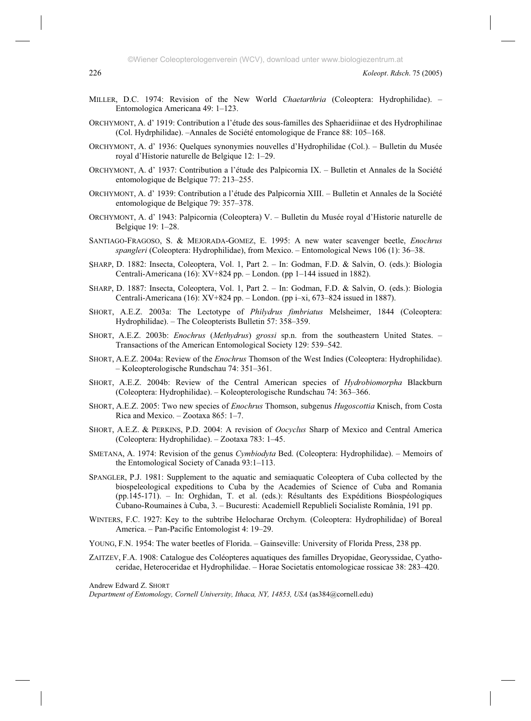- MILLER, D.C. 1974: Revision of the New World *Chaetarthria* (Coleoptera: Hydrophilidae). Entomologica Americana 49: 1–123.
- ORCHYMONT, A. d' 1919: Contribution a l'étude des sous-familles des Sphaeridiinae et des Hydrophilinae (Col. Hydrphilidae). –Annales de Société entomologique de France 88: 105–168.
- ORCHYMONT, A. d' 1936: Quelques synonymies nouvelles d'Hydrophilidae (Col.). Bulletin du Musée royal d'Historie naturelle de Belgique 12: 1–29.
- ORCHYMONT, A. d' 1937: Contribution a l'étude des Palpicornia IX. Bulletin et Annales de la Société entomologique de Belgique 77: 213–255.
- ORCHYMONT, A. d' 1939: Contribution a l'étude des Palpicornia XIII. Bulletin et Annales de la Société entomologique de Belgique 79: 357–378.
- ORCHYMONT, A. d' 1943: Palpicornia (Coleoptera) V. Bulletin du Musée royal d'Historie naturelle de Belgique 19: 1–28.
- SANTIAGO-FRAGOSO, S. & MEJORADA-GOMEZ, E. 1995: A new water scavenger beetle, *Enochrus spangleri* (Coleoptera: Hydrophilidae), from Mexico. – Entomological News 106 (1): 36–38.
- SHARP, D. 1882: Insecta, Coleoptera, Vol. 1, Part 2. In: Godman, F.D. & Salvin, O. (eds.): Biologia Centrali-Americana (16): XV+824 pp. – London. (pp 1–144 issued in 1882).
- SHARP, D. 1887: Insecta, Coleoptera, Vol. 1, Part 2. In: Godman, F.D. & Salvin, O. (eds.): Biologia Centrali-Americana (16): XV+824 pp. – London. (pp i–xi, 673–824 issued in 1887).
- SHORT, A.E.Z. 2003a: The Lectotype of *Philydrus fimbriatus* Melsheimer, 1844 (Coleoptera: Hydrophilidae). – The Coleopterists Bulletin 57: 358–359.
- SHORT, A.E.Z. 2003b: *Enochrus* (*Methydrus*) *grossi* sp.n. from the southeastern United States. Transactions of the American Entomological Society 129: 539–542.
- SHORT, A.E.Z. 2004a: Review of the *Enochrus* Thomson of the West Indies (Coleoptera: Hydrophilidae). – Koleopterologische Rundschau 74: 351–361.
- SHORT, A.E.Z. 2004b: Review of the Central American species of *Hydrobiomorpha* Blackburn (Coleoptera: Hydrophilidae). – Koleopterologische Rundschau 74: 363–366.
- SHORT, A.E.Z. 2005: Two new species of *Enochrus* Thomson, subgenus *Hugoscottia* Knisch, from Costa Rica and Mexico. – Zootaxa 865: 1–7.
- SHORT, A.E.Z. & PERKINS, P.D. 2004: A revision of *Oocyclus* Sharp of Mexico and Central America (Coleoptera: Hydrophilidae). – Zootaxa 783: 1–45.
- SMETANA, A. 1974: Revision of the genus *Cymbiodyta* Bed. (Coleoptera: Hydrophilidae). Memoirs of the Entomological Society of Canada 93:1–113.
- SPANGLER, P.J. 1981: Supplement to the aquatic and semiaquatic Coleoptera of Cuba collected by the biospeleological expeditions to Cuba by the Academies of Science of Cuba and Romania (pp.145-171). – In: Orghidan, T. et al. (eds.): Résultants des Expéditions Biospéologiques Cubano-Roumaines à Cuba, 3. – Bucuresti: Academiell Republieli Socialiste România, 191 pp.
- WINTERS, F.C. 1927: Key to the subtribe Helocharae Orchym. (Coleoptera: Hydrophilidae) of Boreal America. – Pan-Pacific Entomologist 4: 19–29.
- YOUNG, F.N. 1954: The water beetles of Florida. Gainseville: University of Florida Press, 238 pp.
- ZAITZEV, F.A. 1908: Catalogue des Coléopteres aquatiques des familles Dryopidae, Georyssidae, Cyathoceridae, Heteroceridae et Hydrophilidae. – Horae Societatis entomologicae rossicae 38: 283–420.

Andrew Edward Z. SHORT

*Department of Entomology, Cornell University, Ithaca, NY, 14853, USA* (as384@cornell.edu)